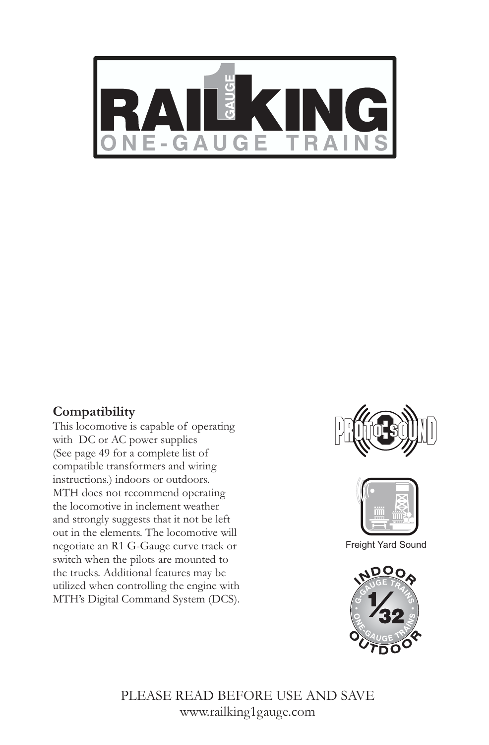

#### *Compatibility*

*This locomotive is capable of operating with DC or AC power supplies (See page 49 for a complete list of compatible transformers and wiring instructions.) indoors or outdoors. MTH does not recommend operating the locomotive in inclement weather and strongly suggests that it not be left out in the elements. The locomotive will negotiate an R1 G-Gauge curve track or switch when the pilots are mounted to the trucks. Additional features may be utilized when controlling the engine with MTH's Digital Command System (DCS).* 





Freight Yard Sound



*PLEASE READ BEFORE USE AND SAVE www.railking1gauge.com*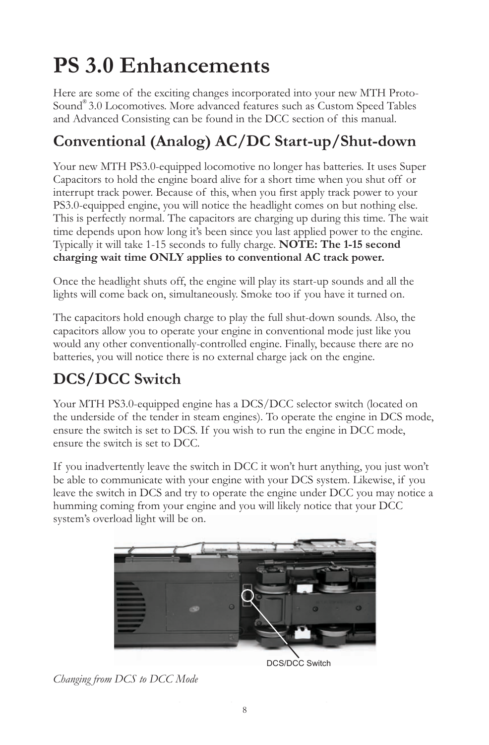# *PS 3.0 Enhancements*

*Here are some of the exciting changes incorporated into your new MTH Proto- ® Sound 3.0 Locomotives. More advanced features such as Custom Speed Tables and Advanced Consisting can be found in the DCC section of this manual.*

# *Conventional (Analog) AC/DC Start-up/Shut-down*

*Your new MTH PS3.0-equipped locomotive no longer has batteries. It uses Super Capacitors to hold the engine board alive for a short time when you shut off or*  interrupt track power. Because of this, when you first apply track power to your *PS3.0-equipped engine, you will notice the headlight comes on but nothing else. This is perfectly normal. The capacitors are charging up during this time. The wait time depends upon how long it's been since you last applied power to the engine. Typically it will take 1-15 seconds to fully charge. NOTE: The 1-15 second charging wait time ONLY applies to conventional AC track power.*

*Once the headlight shuts off, the engine will play its start-up sounds and all the lights will come back on, simultaneously. Smoke too if you have it turned on.*

The capacitors hold enough charge to play the full shut-down sounds. Also, the *capacitors allow you to operate your engine in conventional mode just like you would any other conventionally-controlled engine. Finally, because there are no batteries, you will notice there is no external charge jack on the engine.*

# *DCS/DCC Switch*

*Your MTH PS3.0-equipped engine has a DCS/DCC selector switch (located on the underside of the tender in steam engines). To operate the engine in DCS mode, ensure the switch is set to DCS. If you wish to run the engine in DCC mode, ensure the switch is set to DCC.*

If you inadvertently leave the switch in DCC it won't hurt anything, you just won't *be able to communicate with your engine with your DCS system. Likewise, if you leave the switch in DCS and try to operate the engine under DCC you may notice a humming coming from your engine and you will likely notice that your DCC system's overload light will be on.*



*Changing from DCS to DCC Mode*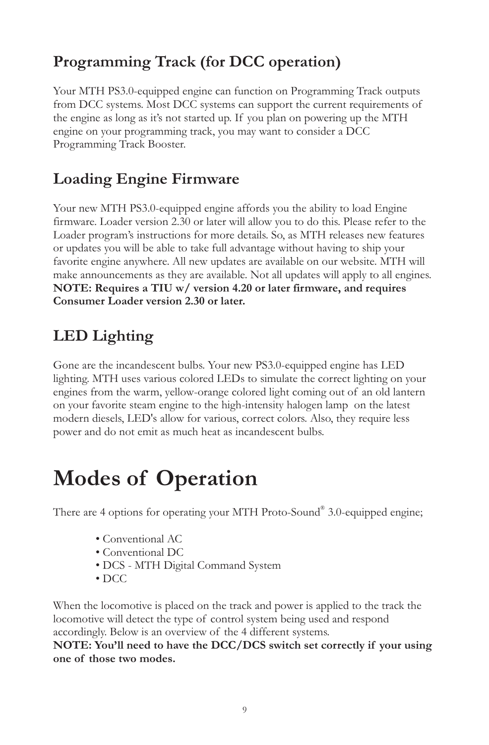## *Programming Track (for DCC operation)*

*Your MTH PS3.0-equipped engine can function on Programming Track outputs from DCC systems. Most DCC systems can support the current requirements of the engine as long as it's not started up. If you plan on powering up the MTH engine on your programming track, you may want to consider a DCC Programming Track Booster.*

## *Loading Engine Firmware*

Your new MTH PS3.0-equipped engine affords you the ability to load Engine *firmware. Loader version 2.30 or later will allow you to do this. Please refer to the*  Loader program's instructions for more details. So, as MTH releases new features *or updates you will be able to take full advantage without having to ship your*  favorite engine anywhere. All new updates are available on our website. MTH will *make announcements as they are available. Not all updates will apply to all engines. NOTE: Requires a TIU w/ version 4.20 or later firmware, and requires Consumer Loader version 2.30 or later.*

## *LED Lighting*

*Gone are the incandescent bulbs. Your new PS3.0-equipped engine has LED*  lighting. MTH uses various colored LEDs to simulate the correct lighting on your *engines from the warm, yellow-orange colored light coming out of an old lantern on your favorite steam engine to the high-intensity halogen lamp on the latest modern diesels, LED's allow for various, correct colors. Also, they require less power and do not emit as much heat as incandescent bulbs.*

# *Modes of Operation*

There are 4 options for operating your MTH Proto-Sound® 3.0-equipped engine;

- *Conventional AC*
- *Conventional DC*
- *DCS MTH Digital Command System*
- *DCC*

When the locomotive is placed on the track and power is applied to the track the *locomotive will detect the type of control system being used and respond accordingly. Below is an overview of the 4 different systems.*

*NOTE: You'll need to have the DCC/DCS switch set correctly if your using one of those two modes.*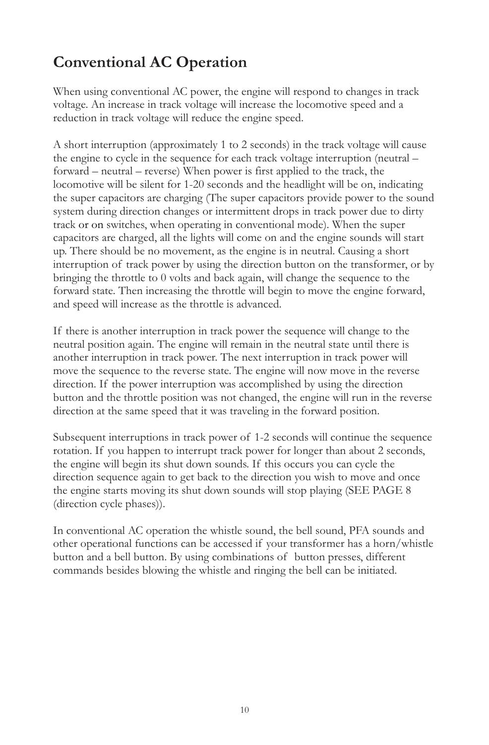# *Conventional AC Operation*

*When using conventional AC power, the engine will respond to changes in track voltage. An increase in track voltage will increase the locomotive speed and a reduction in track voltage will reduce the engine speed.*

*A short interruption (approximately 1 to 2 seconds) in the track voltage will cause the engine to cycle in the sequence for each track voltage interruption (neutral – forward – neutral – reverse) When power is first applied to the track, the locomotive will be silent for 1-20 seconds and the headlight will be on, indicating the super capacitors are charging (The super capacitors provide power to the sound system during direction changes or intermittent drops in track power due to dirty*  track or on switches, when operating in conventional mode). When the super *capacitors are charged, all the lights will come on and the engine sounds will start up. There should be no movement, as the engine is in neutral. Causing a short interruption of track power by using the direction button on the transformer, or by bringing the throttle to 0 volts and back again, will change the sequence to the forward state. Then increasing the throttle will begin to move the engine forward, and speed will increase as the throttle is advanced.*

If there is another interruption in track power the sequence will change to the *neutral position again. The engine will remain in the neutral state until there is*  another interruption in track power. The next interruption in track power will move the sequence to the reverse state. The engine will now move in the reverse direction. If the power interruption was accomplished by using the direction *button and the throttle position was not changed, the engine will run in the reverse direction at the same speed that it was traveling in the forward position.*

*Subsequent interruptions in track power of 1-2 seconds will continue the sequence*  rotation. If you happen to interrupt track power for longer than about 2 seconds, the engine will begin its shut down sounds. If this occurs you can cycle the *direction sequence again to get back to the direction you wish to move and once the engine starts moving its shut down sounds will stop playing (SEE PAGE 8 (direction cycle phases)).*

In conventional AC operation the whistle sound, the bell sound, PFA sounds and *other operational functions can be accessed if your transformer has a horn/whistle*  button and a bell button. By using combinations of button presses, different *commands besides blowing the whistle and ringing the bell can be initiated.*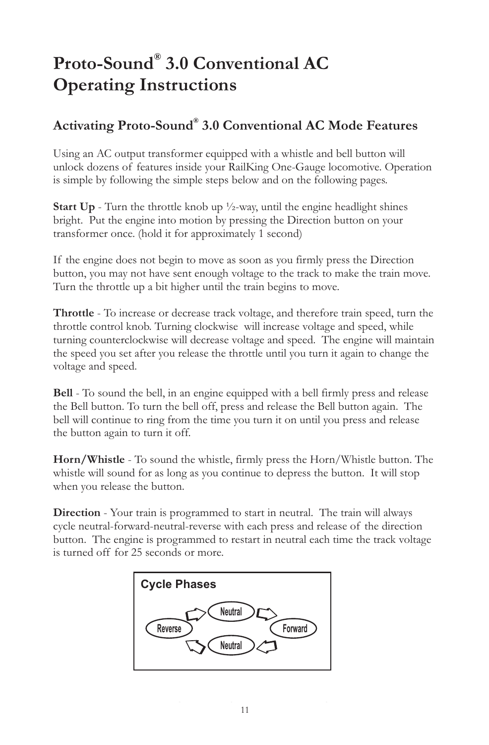# *® Proto-Sound 3.0 Conventional AC Operating Instructions*

## *® Activating Proto-Sound 3.0 Conventional AC Mode Features*

Using an AC output transformer equipped with a whistle and bell button will *unlock dozens of features inside your RailKing One-Gauge locomotive. Operation is simple by following the simple steps below and on the following pages.*

*Start Up - Turn the throttle knob up ½-way, until the engine headlight shines bright. Put the engine into motion by pressing the Direction button on your transformer once. (hold it for approximately 1 second)*

*If the engine does not begin to move as soon as you firmly press the Direction button, you may not have sent enough voltage to the track to make the train move. Turn the throttle up a bit higher until the train begins to move.* 

*Throttle - To increase or decrease track voltage, and therefore train speed, turn the throttle control knob. Turning clockwise will increase voltage and speed, while turning counterclockwise will decrease voltage and speed. The engine will maintain the speed you set after you release the throttle until you turn it again to change the voltage and speed.*

*Bell - To sound the bell, in an engine equipped with a bell firmly press and release the Bell button. To turn the bell off, press and release the Bell button again. The*  bell will continue to ring from the time you turn it on until you press and release *the button again to turn it off.* 

*Horn/Whistle - To sound the whistle, firmly press the Horn/Whistle button. The*  whistle will sound for as long as you continue to depress the button. It will stop *when you release the button.* 

*Direction - Your train is programmed to start in neutral. The train will always cycle neutral-forward-neutral-reverse with each press and release of the direction button. The engine is programmed to restart in neutral each time the track voltage is turned off for 25 seconds or more.* 

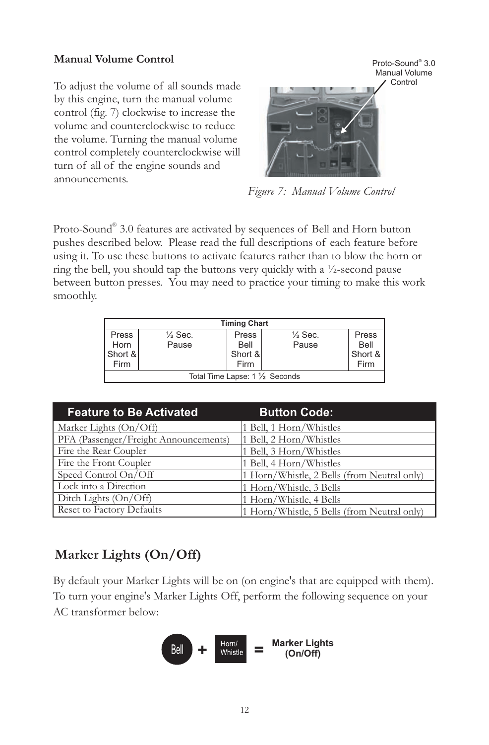#### *Manual Volume Control*

*To adjust the volume of all sounds made by this engine, turn the manual volume control (fig. 7) clockwise to increase the volume and counterclockwise to reduce the volume. Turning the manual volume control completely counterclockwise will turn of all of the engine sounds and announcements.* 



*Figure 7: Manual Volume Control*

Proto-Sound<sup>®</sup> 3.0 features are activated by sequences of Bell and Horn button *pushes described below. Please read the full descriptions of each feature before using it. To use these buttons to activate features rather than to blow the horn or ring the bell, you should tap the buttons very quickly with a ½-second pause between button presses. You may need to practice your timing to make this work smoothly.*

|         |                    | <b>Timing Chart</b> |                                 |         |
|---------|--------------------|---------------------|---------------------------------|---------|
| Press   | $\frac{1}{2}$ Sec. | Press               | $\frac{1}{2}$ Sec.              | Press   |
| Horn    | Pause              | Bell                | Pause                           | Bell    |
| Short & |                    | Short &             |                                 | Short & |
| Firm    |                    | Firm                |                                 | Firm    |
|         |                    |                     | Total Time Lapse: 1 1/2 Seconds |         |

| <b>Feature to Be Activated</b>        | <b>Button Code:</b>                         |
|---------------------------------------|---------------------------------------------|
| Marker Lights (On/Off)                | 1 Bell, 1 Horn/Whistles                     |
| PFA (Passenger/Freight Announcements) | 1 Bell, 2 Horn/Whistles                     |
| Fire the Rear Coupler                 | 1 Bell, 3 Horn/Whistles                     |
| Fire the Front Coupler                | 1 Bell, 4 Horn/Whistles                     |
| Speed Control On/Off                  | 1 Horn/Whistle, 2 Bells (from Neutral only) |
| Lock into a Direction                 | 1 Horn/Whistle, 3 Bells                     |
| Ditch Lights (On/Off)                 | 1 Horn/Whistle, 4 Bells                     |
| Reset to Factory Defaults             | 1 Horn/Whistle, 5 Bells (from Neutral only) |

## *Marker Lights (On/Off)*

*By default your Marker Lights will be on (on engine's that are equipped with them). To turn your engine's Marker Lights Off, perform the following sequence on your AC transformer below:*

$$
\begin{array}{|c|c|c|}\n\hline\n\text{Bell} & + & \text{Hom/} \\
\hline\n\text{White} & = & \text{Market Lights} \\
\hline\n\text{On/Off} & & \text{On/Off}\n\end{array}
$$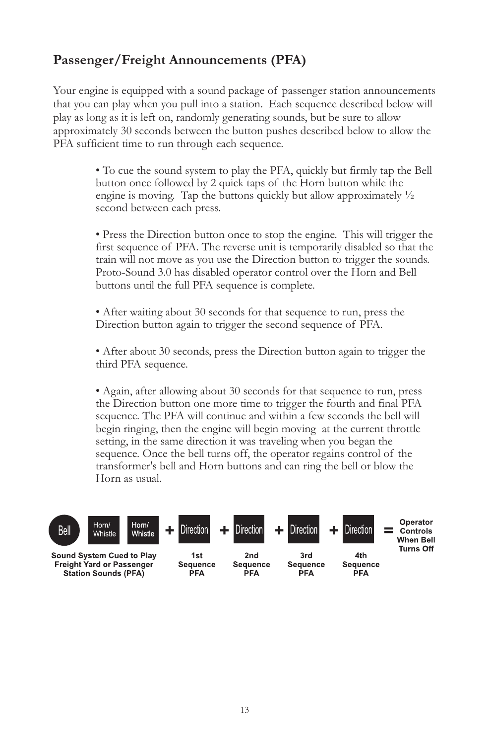## *Passenger/Freight Announcements (PFA)*

*Your engine is equipped with a sound package of passenger station announcements that you can play when you pull into a station. Each sequence described below will play as long as it is left on, randomly generating sounds, but be sure to allow approximately 30 seconds between the button pushes described below to allow the PFA sufficient time to run through each sequence.*

> *• To cue the sound system to play the PFA, quickly but firmly tap the Bell*  button once followed by 2 quick taps of the Horn button while the *engine is moving. Tap the buttons quickly but allow approximately ½ second between each press.*

> • Press the Direction button once to stop the engine. This will trigger the first sequence of PFA. The reverse unit is temporarily disabled so that the *train will not move as you use the Direction button to trigger the sounds. Proto-Sound 3.0 has disabled operator control over the Horn and Bell buttons until the full PFA sequence is complete.*

*• After waiting about 30 seconds for that sequence to run, press the Direction button again to trigger the second sequence of PFA.*

• After about 30 seconds, press the Direction button again to trigger the *third PFA sequence.* 

*• Again, after allowing about 30 seconds for that sequence to run, press the Direction button one more time to trigger the fourth and final PFA*  sequence. The PFA will continue and within a few seconds the bell will begin ringing, then the engine will begin moving at the current throttle *setting, in the same direction it was traveling when you began the sequence. Once the bell turns off, the operator regains control of the*  transformer's bell and Horn buttons and can ring the bell or blow the *Horn as usual.*

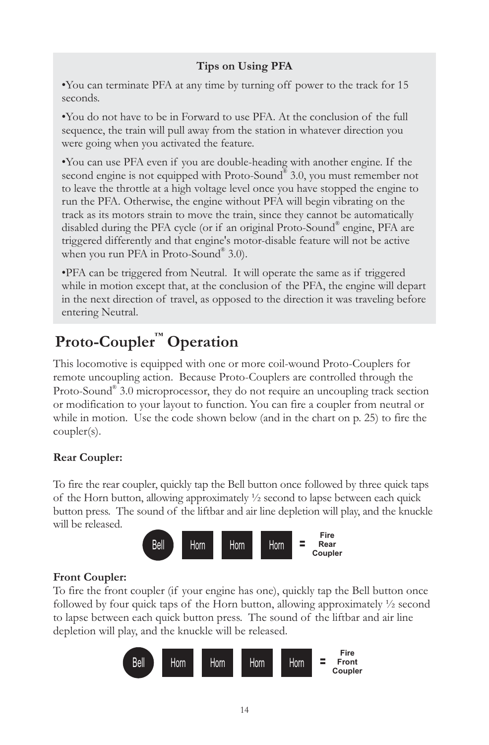#### *Tips on Using PFA*

*•You can terminate PFA at any time by turning off power to the track for 15 seconds.*

*•You do not have to be in Forward to use PFA. At the conclusion of the full sequence, the train will pull away from the station in whatever direction you were going when you activated the feature.*

*•You can use PFA even if you are double-heading with another engine. If the*  second engine is not equipped with Proto-Sound<sup>®</sup> 3.0, you must remember not to leave the throttle at a high voltage level once you have stopped the engine to run the PFA. Otherwise, the engine without PFA will begin vibrating on the *track as its motors strain to move the train, since they cannot be automatically*  disabled during the PFA cycle (or if an original Proto-Sound® engine, PFA are *triggered differently and that engine's motor-disable feature will not be active*  when you run PFA in Proto-Sound<sup>®</sup> 3.0).

*•PFA can be triggered from Neutral. It will operate the same as if triggered*  while in motion except that, at the conclusion of the PFA, the engine will depart *in the next direction of travel, as opposed to the direction it was traveling before entering Neutral.*

# **Proto-Coupler™ Operation**

*This locomotive is equipped with one or more coil-wound Proto-Couplers for*  remote uncoupling action. Because Proto-Couplers are controlled through the Proto-Sound<sup>®</sup> 3.0 microprocessor, they do not require an uncoupling track section *or modification to your layout to function. You can fire a coupler from neutral or*  while in motion. Use the code shown below (and in the chart on p. 25) to fire the *coupler(s).*

#### *Rear Coupler:*

*To fire the rear coupler, quickly tap the Bell button once followed by three quick taps of the Horn button, allowing approximately ½ second to lapse between each quick*  button press. The sound of the liftbar and air line depletion will play, and the knuckle *will be released.*



#### *Front Coupler:*

*To fire the front coupler (if your engine has one), quickly tap the Bell button once followed by four quick taps of the Horn button, allowing approximately <sup>1</sup>/<sub>2</sub> second* to lapse between each quick button press. The sound of the liftbar and air line *depletion will play, and the knuckle will be released.*

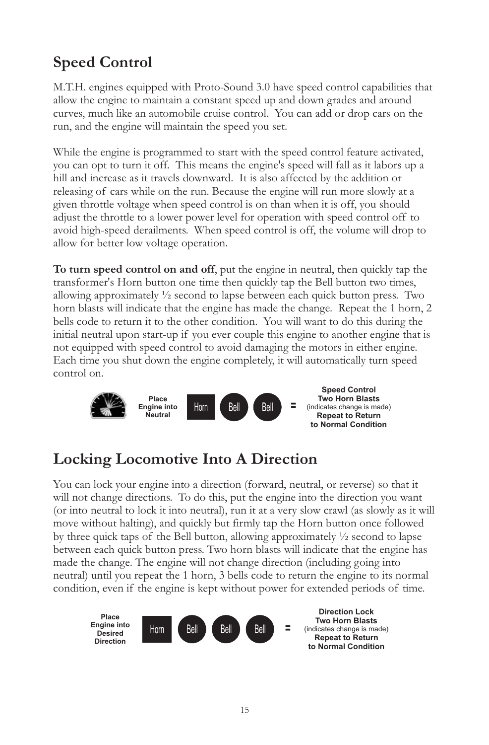# *Speed Control*

*M.T.H. engines equipped with Proto-Sound 3.0 have speed control capabilities that* allow the engine to maintain a constant speed up and down grades and around *curves, much like an automobile cruise control. You can add or drop cars on the run, and the engine will maintain the speed you set.* 

*While the engine is programmed to start with the speed control feature activated, you can opt to turn it off. This means the engine's speed will fall as it labors up a*  hill and increase as it travels downward. It is also affected by the addition or *releasing of cars while on the run. Because the engine will run more slowly at a given throttle voltage when speed control is on than when it is off, you should adjust the throttle to a lower power level for operation with speed control off to avoid high-speed derailments. When speed control is off, the volume will drop to allow for better low voltage operation.*

*To turn speed control on and off, put the engine in neutral, then quickly tap the transformer's Horn button one time then quickly tap the Bell button two times, allowing approximately ½ second to lapse between each quick button press. Two horn blasts will indicate that the engine has made the change. Repeat the 1 horn, 2* bells code to return it to the other condition. You will want to do this during the *initial neutral upon start-up if you ever couple this engine to another engine that is not equipped with speed control to avoid damaging the motors in either engine. Each time you shut down the engine completely, it will automatically turn speed control on.*



## *Locking Locomotive Into A Direction*

You can lock your engine into a direction (forward, neutral, or reverse) so that it will not change directions. To do this, put the engine into the direction you want *(or into neutral to lock it into neutral), run it at a very slow crawl (as slowly as it will*  move without halting), and quickly but firmly tap the Horn button once followed *by three quick taps of the Bell button, allowing approximately ½ second to lapse between each quick button press. Two horn blasts will indicate that the engine has*  made the change. The engine will not change direction (including going into *neutral*) until you repeat the 1 horn, 3 bells code to return the engine to its normal *condition, even if the engine is kept without power for extended periods of time.*

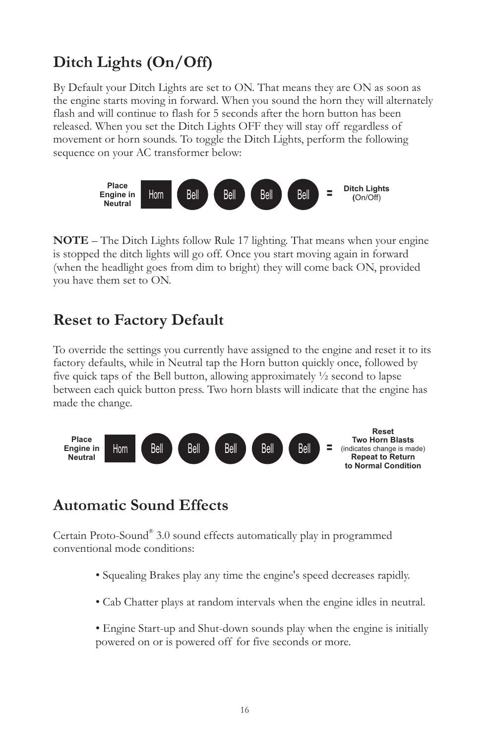# *Ditch Lights (On/Off)*

*By Default your Ditch Lights are set to ON. That means they are ON as soon as the engine starts moving in forward. When you sound the horn they will alternately*  flash and will continue to flash for 5 seconds after the horn button has been released. When you set the Ditch Lights OFF they will stay off regardless of movement or horn sounds. To toggle the Ditch Lights, perform the following *sequence on your AC transformer below:*



*NOTE – The Ditch Lights follow Rule 17 lighting. That means when your engine*  is stopped the ditch lights will go off. Once you start moving again in forward *(when the headlight goes from dim to bright) they will come back ON, provided you have them set to ON.*

## *Reset to Factory Default*

*To override the settings you currently have assigned to the engine and reset it to its factory defaults, while in Neutral tap the Horn button quickly once, followed by five quick taps of the Bell button, allowing approximately ½ second to lapse between each quick button press. Two horn blasts will indicate that the engine has made the change.*



## *Automatic Sound Effects*

Certain Proto-Sound® 3.0 sound effects automatically play in programmed *conventional mode conditions:*

- *Squealing Brakes play any time the engine's speed decreases rapidly.*
- *Cab Chatter plays at random intervals when the engine idles in neutral.*
- *Engine Start-up and Shut-down sounds play when the engine is initially powered on or is powered off for five seconds or more.*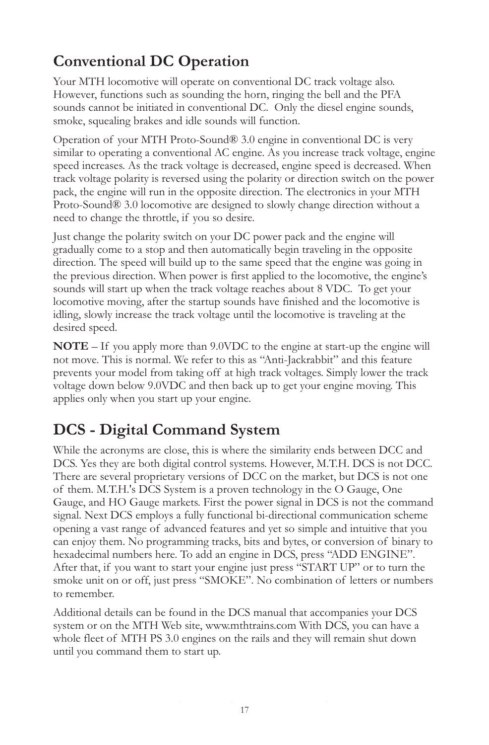# *Conventional DC Operation*

*Your MTH locomotive will operate on conventional DC track voltage also. However, functions such as sounding the horn, ringing the bell and the PFA sounds cannot be initiated in conventional DC. Only the diesel engine sounds, smoke, squealing brakes and idle sounds will function.* 

*Operation of your MTH Proto-Sound® 3.0 engine in conventional DC is very similar to operating a conventional AC engine. As you increase track voltage, engine*  speed increases. As the track voltage is decreased, engine speed is decreased. When *track voltage polarity is reversed using the polarity or direction switch on the power pack, the engine will run in the opposite direction. The electronics in your MTH Proto-Sound® 3.0 locomotive are designed to slowly change direction without a need to change the throttle, if you so desire.*

Just change the polarity switch on your DC power pack and the engine will *gradually come to a stop and then automatically begin traveling in the opposite*  direction. The speed will build up to the same speed that the engine was going in *the previous direction. When power is first applied to the locomotive, the engine's*  sounds will start up when the track voltage reaches about 8 VDC. To get your *locomotive moving, after the startup sounds have finished and the locomotive is idling, slowly increase the track voltage until the locomotive is traveling at the desired speed.*

*NOTE – If you apply more than 9.0VDC to the engine at start-up the engine will not move. This is normal. We refer to this as "Anti-Jackrabbit" and this feature prevents your model from taking off at high track voltages. Simply lower the track voltage down below 9.0VDC and then back up to get your engine moving. This applies only when you start up your engine.*

# *DCS - Digital Command System*

*While the acronyms are close, this is where the similarity ends between DCC and DCS. Yes they are both digital control systems. However, M.T.H. DCS is not DCC.*  There are several proprietary versions of DCC on the market, but DCS is not one *of them. M.T.H.'s DCS System is a proven technology in the O Gauge, One Gauge, and HO Gauge markets. First the power signal in DCS is not the command signal. Next DCS employs a fully functional bi-directional communication scheme opening a vast range of advanced features and yet so simple and intuitive that you can enjoy them. No programming tracks, bits and bytes, or conversion of binary to hexadecimal numbers here. To add an engine in DCS, press "ADD ENGINE". After that, if you want to start your engine just press "START UP" or to turn the smoke unit on or off, just press "SMOKE". No combination of letters or numbers to remember.* 

*Additional details can be found in the DCS manual that accompanies your DCS system or on the MTH Web site, www.mthtrains.com With DCS, you can have a*  whole fleet of MTH PS 3.0 engines on the rails and they will remain shut down *until you command them to start up.*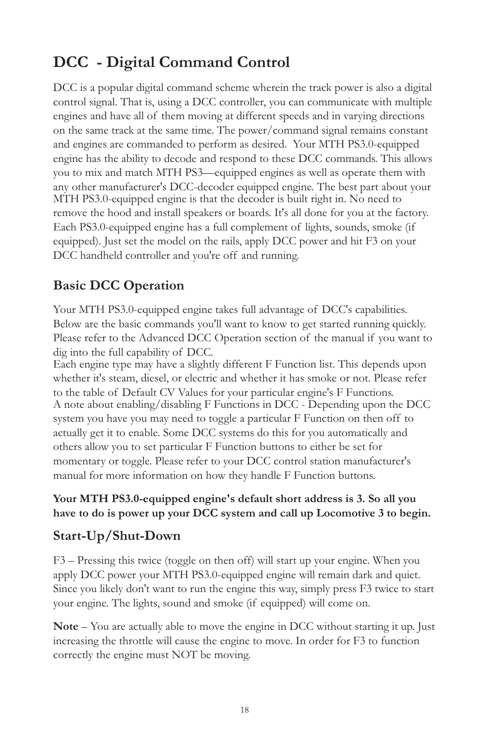# *DCC - Digital Command Control*

*DCC is a popular digital command scheme wherein the track power is also a digital control signal. That is, using a DCC controller, you can communicate with multiple engines and have all of them moving at different speeds and in varying directions on the same track at the same time. The power/command signal remains constant and engines are commanded to perform as desired. Your MTH PS3.0-equipped engine has the ability to decode and respond to these DCC commands. This allows you to mix and match MTH PS3—equipped engines as well as operate them with*  any other manufacturer's DCC-decoder equipped engine. The best part about your *MTH PS3.0-equipped engine is that the decoder is built right in. No need to remove the hood and install speakers or boards. It's all done for you at the factory. Each PS3.0-equipped engine has a full complement of lights, sounds, smoke (if equipped). Just set the model on the rails, apply DCC power and hit F3 on your DCC handheld controller and you're off and running.*

### *Basic DCC Operation*

*Your MTH PS3.0-equipped engine takes full advantage of DCC's capabilities. Below are the basic commands you'll want to know to get started running quickly.*  Please refer to the Advanced DCC Operation section of the manual if you want to *dig into the full capability of DCC.*

*Each engine type may have a slightly different F Function list. This depends upon whether it's steam, diesel, or electric and whether it has smoke or not. Please refer to the table of Default CV Values for your particular engine's F Functions. A note about enabling/disabling F Functions in DCC - Depending upon the DCC system you have you may need to toggle a particular F Function on then off to actually get it to enable. Some DCC systems do this for you automatically and others allow you to set particular F Function buttons to either be set for momentary or toggle. Please refer to your DCC control station manufacturer's manual for more information on how they handle F Function buttons.*

#### *Your MTH PS3.0-equipped engine's default short address is 3. So all you have to do is power up your DCC system and call up Locomotive 3 to begin.*

#### *Start-Up/Shut-Down*

*F3 – Pressing this twice (toggle on then off) will start up your engine. When you apply DCC power your MTH PS3.0-equipped engine will remain dark and quiet. Since you likely don't want to run the engine this way, simply press F3 twice to start your engine. The lights, sound and smoke (if equipped) will come on.* 

*Note – You are actually able to move the engine in DCC without starting it up. Just*  increasing the throttle will cause the engine to move. In order for F3 to function *correctly the engine must NOT be moving.*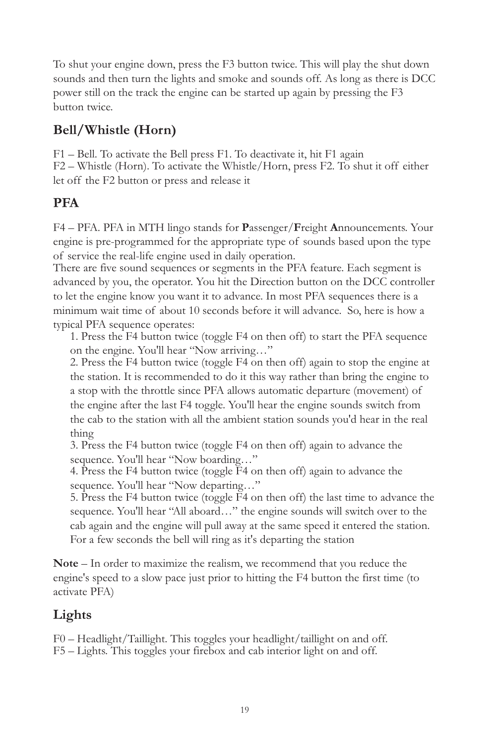*To shut your engine down, press the F3 button twice. This will play the shut down sounds and then turn the lights and smoke and sounds off. As long as there is DCC power still on the track the engine can be started up again by pressing the F3 button twice.*

## *Bell/Whistle (Horn)*

*F1 – Bell. To activate the Bell press F1. To deactivate it, hit F1 again F2 – Whistle (Horn). To activate the Whistle/Horn, press F2. To shut it off either let off the F2 button or press and release it*

### *PFA*

*F4 – PFA. PFA in MTH lingo stands for Passenger/Freight Announcements. Your*  engine is pre-programmed for the appropriate type of sounds based upon the type *of service the real-life engine used in daily operation.*

*There are five sound sequences or segments in the PFA feature. Each segment is advanced by you, the operator. You hit the Direction button on the DCC controller*  to let the engine know you want it to advance. In most PFA sequences there is a *minimum wait time of about 10 seconds before it will advance. So, here is how a typical PFA sequence operates:*

*1. Press the F4 button twice (toggle F4 on then off) to start the PFA sequence on the engine. You'll hear "Now arriving…"*

*2. Press the F4 button twice (toggle F4 on then off) again to stop the engine at the station. It is recommended to do it this way rather than bring the engine to a stop with the throttle since PFA allows automatic departure (movement) of the engine after the last F4 toggle. You'll hear the engine sounds switch from the cab to the station with all the ambient station sounds you'd hear in the real thing*

*3. Press the F4 button twice (toggle F4 on then off) again to advance the sequence. You'll hear "Now boarding…"*

*4. Press the F4 button twice (toggle F4 on then off) again to advance the sequence. You'll hear "Now departing…"*

*5. Press the F4 button twice (toggle F4 on then off) the last time to advance the sequence. You'll hear "All aboard…" the engine sounds will switch over to the cab again and the engine will pull away at the same speed it entered the station. For a few seconds the bell will ring as it's departing the station*

*Note – In order to maximize the realism, we recommend that you reduce the engine's speed to a slow pace just prior to hitting the F4 button the first time (to activate PFA)*

## *Lights*

*F0 – Headlight/Taillight. This toggles your headlight/taillight on and off. F5 – Lights. This toggles your firebox and cab interior light on and off.*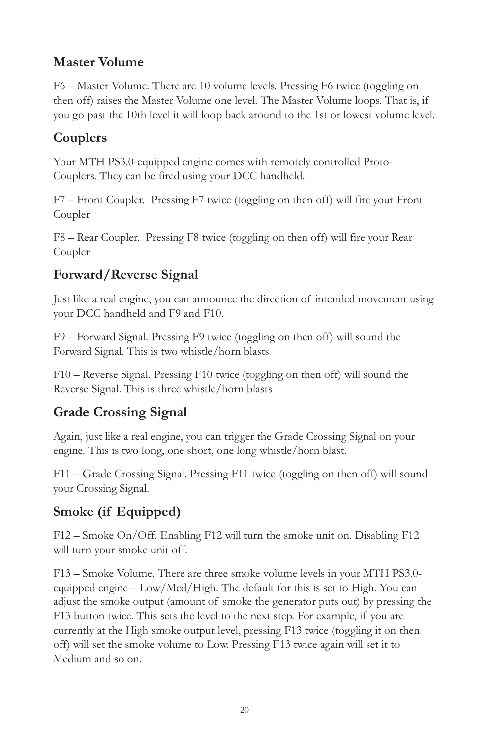### *Master Volume*

*F6 – Master Volume. There are 10 volume levels. Pressing F6 twice (toggling on then off) raises the Master Volume one level. The Master Volume loops. That is, if you go past the 10th level it will loop back around to the 1st or lowest volume level.*

## *Couplers*

*Your MTH PS3.0-equipped engine comes with remotely controlled Proto-Couplers. They can be fired using your DCC handheld.* 

*F7 – Front Coupler. Pressing F7 twice (toggling on then off) will fire your Front Coupler*

*F8 – Rear Coupler. Pressing F8 twice (toggling on then off) will fire your Rear Coupler*

## *Forward/Reverse Signal*

*Just like a real engine, you can announce the direction of intended movement using your DCC handheld and F9 and F10.*

*F9 – Forward Signal. Pressing F9 twice (toggling on then off) will sound the Forward Signal. This is two whistle/horn blasts*

*F10 – Reverse Signal. Pressing F10 twice (toggling on then off) will sound the Reverse Signal. This is three whistle/horn blasts*

## *Grade Crossing Signal*

*Again, just like a real engine, you can trigger the Grade Crossing Signal on your engine. This is two long, one short, one long whistle/horn blast.*

*F11 – Grade Crossing Signal. Pressing F11 twice (toggling on then off) will sound your Crossing Signal.*

## *Smoke (if Equipped)*

*F12 – Smoke On/Off. Enabling F12 will turn the smoke unit on. Disabling F12 will turn your smoke unit off.*

*F13 – Smoke Volume. There are three smoke volume levels in your MTH PS3.0 equipped engine – Low/Med/High. The default for this is set to High. You can adjust the smoke output (amount of smoke the generator puts out) by pressing the F13 button twice. This sets the level to the next step. For example, if you are currently at the High smoke output level, pressing F13 twice (toggling it on then off*) will set the smoke volume to Low. Pressing F13 twice again will set it to *Medium and so on.*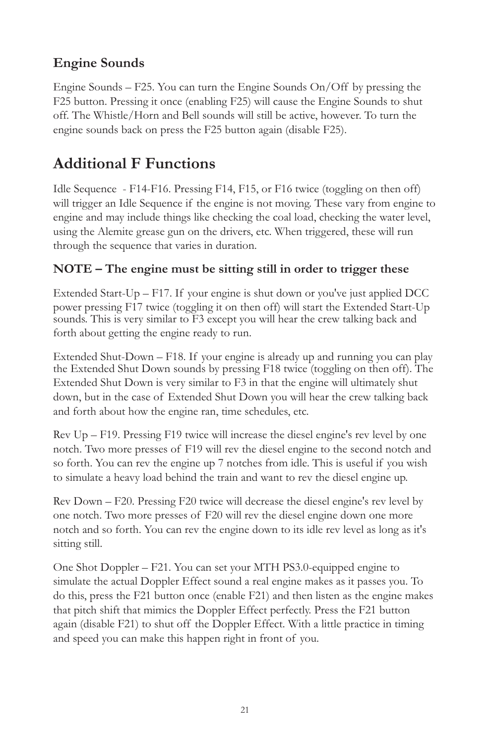## *Engine Sounds*

*Engine Sounds – F25. You can turn the Engine Sounds On/Off by pressing the F25 button. Pressing it once (enabling F25) will cause the Engine Sounds to shut*  off. The Whistle/Horn and Bell sounds will still be active, however. To turn the *engine sounds back on press the F25 button again (disable F25).*

## *Additional F Functions*

*Idle Sequence - F14-F16. Pressing F14, F15, or F16 twice (toggling on then off) will trigger an Idle Sequence if the engine is not moving. These vary from engine to engine and may include things like checking the coal load, checking the water level,*  using the Alemite grease gun on the drivers, etc. When triggered, these will run *through the sequence that varies in duration.*

#### *NOTE – The engine must be sitting still in order to trigger these*

*Extended Start-Up – F17. If your engine is shut down or you've just applied DCC power pressing F17 twice (toggling it on then off) will start the Extended Start-Up sounds. This is very similar to F3 except you will hear the crew talking back and forth about getting the engine ready to run.* 

*Extended Shut-Down – F18. If your engine is already up and running you can play the Extended Shut Down sounds by pressing F18 twice (toggling on then off). The Extended Shut Down is very similar to F3 in that the engine will ultimately shut down, but in the case of Extended Shut Down you will hear the crew talking back and forth about how the engine ran, time schedules, etc.*

*Rev Up – F19. Pressing F19 twice will increase the diesel engine's rev level by one notch. Two more presses of F19 will rev the diesel engine to the second notch and so forth. You can rev the engine up 7 notches from idle. This is useful if you wish to simulate a heavy load behind the train and want to rev the diesel engine up.*

*Rev Down – F20. Pressing F20 twice will decrease the diesel engine's rev level by one notch. Two more presses of F20 will rev the diesel engine down one more notch and so forth. You can rev the engine down to its idle rev level as long as it's sitting still.*

*One Shot Doppler – F21. You can set your MTH PS3.0-equipped engine to simulate the actual Doppler Effect sound a real engine makes as it passes you. To do this, press the F21 button once (enable F21) and then listen as the engine makes*  that pitch shift that mimics the Doppler Effect perfectly. Press the F21 button *again (disable F21) to shut off the Doppler Effect. With a little practice in timing and speed you can make this happen right in front of you.*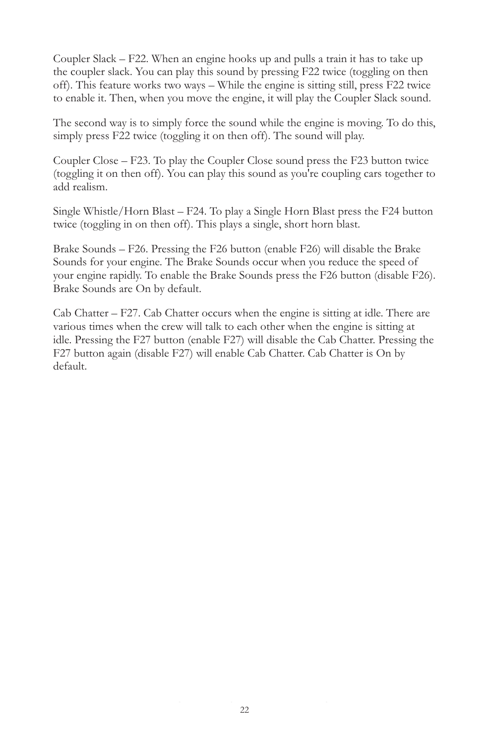*Coupler Slack – F22. When an engine hooks up and pulls a train it has to take up the coupler slack. You can play this sound by pressing F22 twice (toggling on then off). This feature works two ways – While the engine is sitting still, press F22 twice*  to enable it. Then, when you move the engine, it will play the Coupler Slack sound.

*The second way is to simply force the sound while the engine is moving. To do this, simply press F22 twice (toggling it on then off). The sound will play.*

*Coupler Close – F23. To play the Coupler Close sound press the F23 button twice (toggling it on then off). You can play this sound as you're coupling cars together to add realism.*

*Single Whistle/Horn Blast – F24. To play a Single Horn Blast press the F24 button twice (toggling in on then off). This plays a single, short horn blast.*

*Brake Sounds – F26. Pressing the F26 button (enable F26) will disable the Brake*  Sounds for your engine. The Brake Sounds occur when you reduce the speed of *your engine rapidly. To enable the Brake Sounds press the F26 button (disable F26). Brake Sounds are On by default.*

*Cab Chatter – F27. Cab Chatter occurs when the engine is sitting at idle. There are*  various times when the crew will talk to each other when the engine is sitting at *idle. Pressing the F27 button (enable F27) will disable the Cab Chatter. Pressing the F27 button again (disable F27) will enable Cab Chatter. Cab Chatter is On by default.*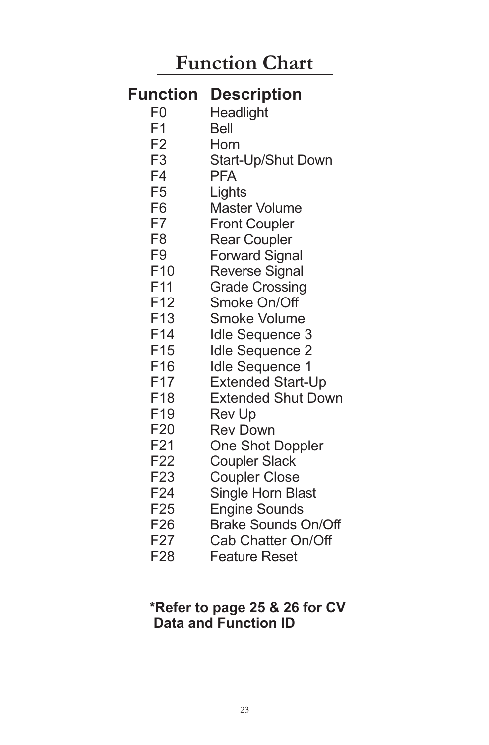# *Function Chart*

## **Function Description**

- F0 **Headlight**
- F1 Bell
- F2 Horn
- F3 Start-Up/Shut Down
- F4 PFA
- F5 **Lights**
- F6 Master Volume
- F7 Front Coupler
- F8 Rear Coupler
- F9 Forward Signal
- F10 Reverse Signal
- F11 Grade Crossing
- F12 Smoke On/Off
- F13 Smoke Volume
- F14 Idle Sequence 3
- F15 Idle Sequence 2
- F16 Idle Sequence 1
- F17 Extended Start-Up
- F18 Extended Shut Down
- F19 Rev Up
- F20 Rev Down
- F21 One Shot Doppler
- F22 Coupler Slack
- F23 Coupler Close
- F24 Single Horn Blast
- F25 Engine Sounds
- F26 Brake Sounds On/Off
- F27 Cab Chatter On/Off
- F28 Feature Reset

## **\*Refer to page 25 & 26 for CV Data and Function ID**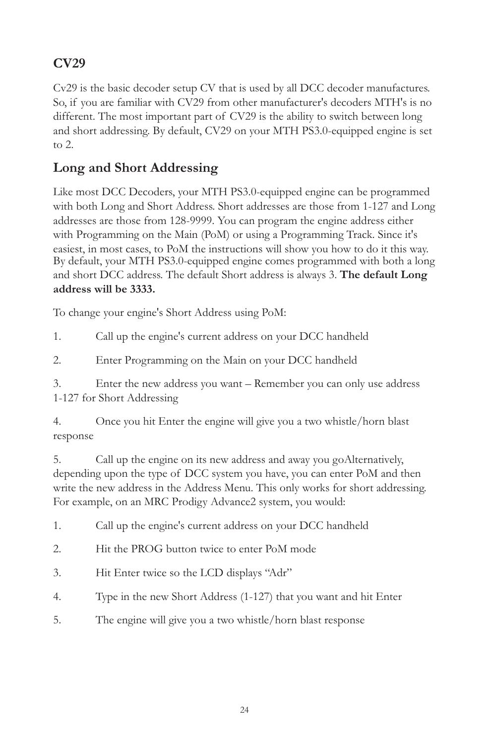## *CV29*

*Cv29 is the basic decoder setup CV that is used by all DCC decoder manufactures. So, if you are familiar with CV29 from other manufacturer's decoders MTH's is no*  different. The most important part of CV29 is the ability to switch between long and short addressing. By default, CV29 on your MTH PS3.0-equipped engine is set *to 2.*

## *Long and Short Addressing*

Like most DCC Decoders, your MTH PS3.0-equipped engine can be programmed *with both Long and Short Address. Short addresses are those from 1-127 and Long*  addresses are those from 128-9999. You can program the engine address either *with Programming on the Main (PoM) or using a Programming Track. Since it's easiest, in most cases, to PoM the instructions will show you how to do it this way. By default, your MTH PS3.0-equipped engine comes programmed with both a long and short DCC address. The default Short address is always 3. The default Long address will be 3333.* 

*To change your engine's Short Address using PoM:*

*1. Call up the engine's current address on your DCC handheld*

*2. Enter Programming on the Main on your DCC handheld*

*3. Enter the new address you want – Remember you can only use address 1-127 for Short Addressing*

*4. Once you hit Enter the engine will give you a two whistle/horn blast response*

*5. Call up the engine on its new address and away you goAlternatively, depending upon the type of DCC system you have, you can enter PoM and then write the new address in the Address Menu. This only works for short addressing. For example, on an MRC Prodigy Advance2 system, you would:*

*1. Call up the engine's current address on your DCC handheld*

- *2. Hit the PROG button twice to enter PoM mode*
- *3. Hit Enter twice so the LCD displays "Adr"*
- *4. Type in the new Short Address (1-127) that you want and hit Enter*
- *5. The engine will give you a two whistle/horn blast response*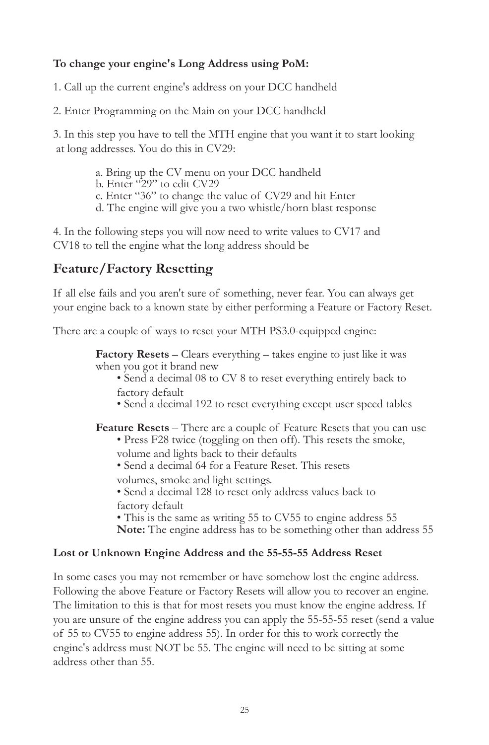#### *To change your engine's Long Address using PoM:*

*1. Call up the current engine's address on your DCC handheld*

*2. Enter Programming on the Main on your DCC handheld*

*3. In this step you have to tell the MTH engine that you want it to start looking at long addresses. You do this in CV29:*

- *a. Bring up the CV menu on your DCC handheld*
- *b. Enter "29" to edit CV29*
- *c. Enter "36" to change the value of CV29 and hit Enter*
- *d. The engine will give you a two whistle/horn blast response*

*4. In the following steps you will now need to write values to CV17 and CV18 to tell the engine what the long address should be*

#### *Feature/Factory Resetting*

*If all else fails and you aren't sure of something, never fear. You can always get your engine back to a known state by either performing a Feature or Factory Reset.*

*There are a couple of ways to reset your MTH PS3.0-equipped engine:*

*Factory Resets – Clears everything – takes engine to just like it was when you got it brand new*

- *Send a decimal 08 to CV 8 to reset everything entirely back to factory default*
- *Send a decimal 192 to reset everything except user speed tables*

*Feature Resets – There are a couple of Feature Resets that you can use*

- *Press F28 twice (toggling on then off). This resets the smoke, volume and lights back to their defaults*
- *Send a decimal 64 for a Feature Reset. This resets*
- *volumes, smoke and light settings.*

*• Send a decimal 128 to reset only address values back to factory default* 

*• This is the same as writing 55 to CV55 to engine address 55 Note: The engine address has to be something other than address 55*

#### *Lost or Unknown Engine Address and the 55-55-55 Address Reset*

*In some cases you may not remember or have somehow lost the engine address. Following the above Feature or Factory Resets will allow you to recover an engine.*  The limitation to this is that for most resets you must know the engine address. If *you are unsure of the engine address you can apply the 55-55-55 reset (send a value of 55 to CV55 to engine address 55). In order for this to work correctly the engine's address must NOT be 55. The engine will need to be sitting at some address other than 55.*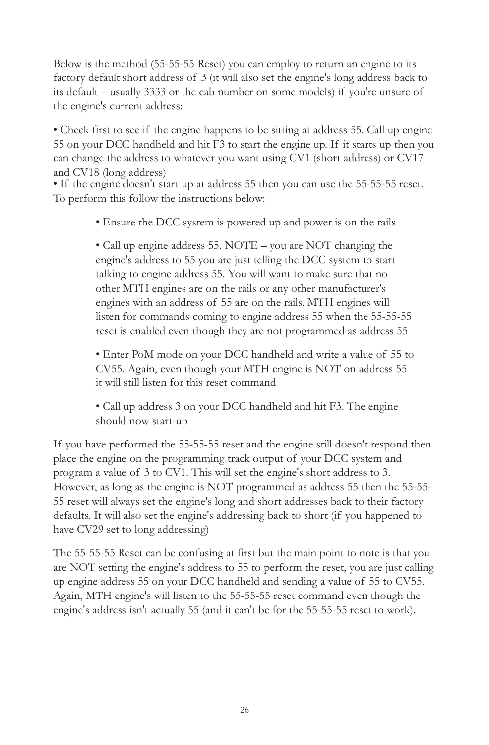*Below is the method (55-55-55 Reset) you can employ to return an engine to its factory default short address of 3 (it will also set the engine's long address back to its default – usually 3333 or the cab number on some models) if you're unsure of the engine's current address:*

*• Check first to see if the engine happens to be sitting at address 55. Call up engine 55 on your DCC handheld and hit F3 to start the engine up. If it starts up then you can change the address to whatever you want using CV1 (short address) or CV17 and CV18 (long address)*

*• If the engine doesn't start up at address 55 then you can use the 55-55-55 reset. To perform this follow the instructions below:*

*• Ensure the DCC system is powered up and power is on the rails*

*• Call up engine address 55. NOTE – you are NOT changing the engine's address to 55 you are just telling the DCC system to start talking to engine address 55. You will want to make sure that no other MTH engines are on the rails or any other manufacturer's*  engines with an address of 55 are on the rails. MTH engines will *listen for commands coming to engine address 55 when the 55-55-55 reset is enabled even though they are not programmed as address 55*

*• Enter PoM mode on your DCC handheld and write a value of 55 to CV55. Again, even though your MTH engine is NOT on address 55 it will still listen for this reset command*

*• Call up address 3 on your DCC handheld and hit F3. The engine should now start-up*

*If you have performed the 55-55-55 reset and the engine still doesn't respond then place the engine on the programming track output of your DCC system and program a value of 3 to CV1. This will set the engine's short address to 3. However, as long as the engine is NOT programmed as address 55 then the 55-55- 55 reset will always set the engine's long and short addresses back to their factory defaults. It will also set the engine's addressing back to short (if you happened to have CV29 set to long addressing)*

*The 55-55-55 Reset can be confusing at first but the main point to note is that you are NOT setting the engine's address to 55 to perform the reset, you are just calling up engine address 55 on your DCC handheld and sending a value of 55 to CV55. Again, MTH engine's will listen to the 55-55-55 reset command even though the engine's address isn't actually 55 (and it can't be for the 55-55-55 reset to work).*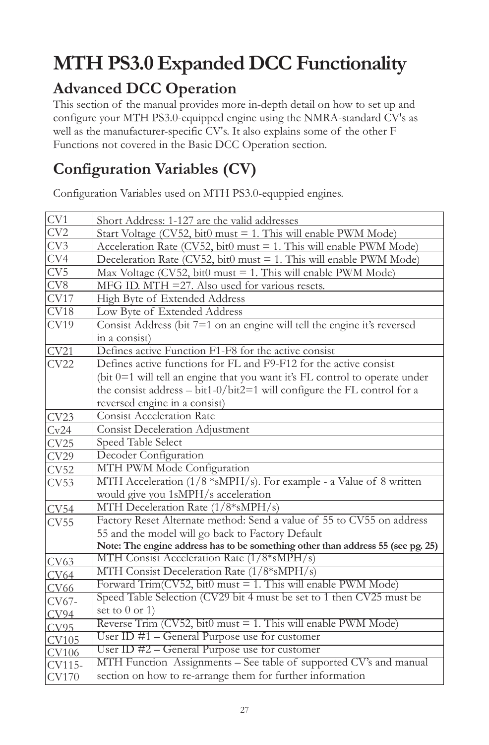# *MTH PS3.0 Expanded DCC Functionality*

## *Advanced DCC Operation*

*This section of the manual provides more in-depth detail on how to set up and configure your MTH PS3.0-equipped engine using the NMRA-standard CV's as well as the manufacturer-specific CV's. It also explains some of the other F Functions not covered in the Basic DCC Operation section.*

# *Configuration Variables (CV)*

*Configuration Variables used on MTH PS3.0-equppied engines.* 

| CV1             | Short Address: 1-127 are the valid addresses                                    |
|-----------------|---------------------------------------------------------------------------------|
| CV <sub>2</sub> | Start Voltage (CV52, bit0 must = 1. This will enable PWM Mode)                  |
| CV3             | Acceleration Rate (CV52, bit0 must = 1. This will enable PWM Mode)              |
| CV4             | Deceleration Rate (CV52, bit0 must = 1. This will enable PWM Mode)              |
| CV5             | Max Voltage (CV52, bit0 must = 1. This will enable PWM Mode)                    |
| CV8             | MFG ID. MTH = 27. Also used for various resets.                                 |
| CV17            | High Byte of Extended Address                                                   |
| CV18            | Low Byte of Extended Address                                                    |
| CV19            | Consist Address (bit 7=1 on an engine will tell the engine it's reversed        |
|                 | in a consist)                                                                   |
| CV21            | Defines active Function F1-F8 for the active consist                            |
| CV22            | Defines active functions for FL and F9-F12 for the active consist               |
|                 | (bit 0=1 will tell an engine that you want it's FL control to operate under     |
|                 | the consist address $-$ bit1-0/bit2=1 will configure the FL control for a       |
|                 | reversed engine in a consist)                                                   |
| CV23            | <b>Consist Acceleration Rate</b>                                                |
| Cv24            | <b>Consist Deceleration Adjustment</b>                                          |
| CV25            | Speed Table Select                                                              |
| CV29            | Decoder Configuration                                                           |
| CV52            | MTH PWM Mode Configuration                                                      |
| CV53            | MTH Acceleration (1/8 *sMPH/s). For example - a Value of 8 written              |
|                 | would give you 1sMPH/s acceleration                                             |
| CV54            | MTH Deceleration Rate (1/8*sMPH/s)                                              |
| CV55            | Factory Reset Alternate method: Send a value of 55 to CV55 on address           |
|                 | 55 and the model will go back to Factory Default                                |
|                 | Note: The engine address has to be something other than address 55 (see pg. 25) |
| CV63            | MTH Consist Acceleration Rate (1/8*sMPH/s)                                      |
| <b>CV64</b>     | MTH Consist Deceleration Rate (1/8*sMPH/s)                                      |
| <b>CV66</b>     | Forward Trim( $CV52$ , bit $0$ must = 1. This will enable PWM Mode)             |
| CV67-           | Speed Table Selection (CV29 bit 4 must be set to 1 then CV25 must be            |
| CV94            | set to $0$ or $1)$                                                              |
| CV95            | Reverse Trim (CV52, bit0 must = 1. This will enable PWM Mode)                   |
| CV105           | User ID $#1$ – General Purpose use for customer                                 |
| <b>CV106</b>    | User ID #2 – General Purpose use for customer                                   |
| CV115-          | MTH Function Assignments - See table of supported CV's and manual               |
| <b>CV170</b>    | section on how to re-arrange them for further information                       |
|                 |                                                                                 |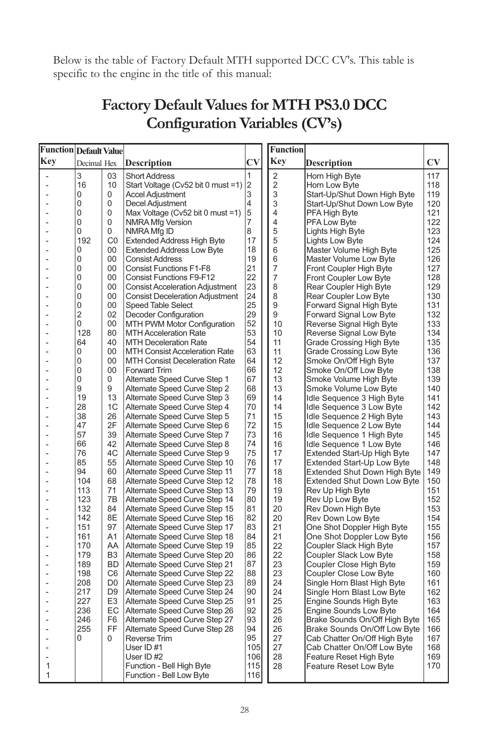*Below is the table of Factory Default MTH supported DCC CV's. This table is specific to the engine in the title of this manual:*

## *Factory Default Values for MTH PS3.0 DCC Configuration Variables (CV's)*

| Function Default Value |                |                      |                                                                           |                | <b>Function</b> |                                                                  |                        |
|------------------------|----------------|----------------------|---------------------------------------------------------------------------|----------------|-----------------|------------------------------------------------------------------|------------------------|
| Key                    | Decimal Hex    |                      | <b>Description</b>                                                        | <b>CV</b>      | Key             | Description                                                      | $\mathbf{C}\mathbf{V}$ |
|                        | 3              | 03                   | <b>Short Address</b>                                                      | 1              | $\overline{2}$  | Horn High Byte                                                   | 117                    |
|                        | 16             | 10                   | Start Voltage (Cv52 bit 0 must =1)                                        | $\overline{2}$ | $\overline{c}$  | Horn Low Byte                                                    | 118                    |
|                        | 0              | 0                    | <b>Accel Adjustment</b>                                                   | 3              | 3               | Start-Up/Shut Down High Byte                                     | 119                    |
| ۰                      | 0              | 0                    | Decel Adjustment                                                          | 4              | 3               | Start-Up/Shut Down Low Byte                                      | 120                    |
|                        | 0              | 0                    | Max Voltage ( $Cv52$ bit 0 must =1)                                       | 5              | 4               | PFA High Byte                                                    | 121                    |
|                        | 0              | 0                    | <b>NMRA Mfg Version</b>                                                   | 7              | 4               | <b>PFA Low Byte</b>                                              | 122                    |
|                        | 0              | 0                    | NMRA Mfg ID                                                               | 8              | 5               | Lights High Byte                                                 | 123                    |
|                        | 192            | CO                   | <b>Extended Address High Byte</b>                                         | 17             | 5               | Lights Low Byte                                                  | 124                    |
|                        | $\Omega$       | 00                   | <b>Extended Address Low Byte</b>                                          | 18             | 6               | Master Volume High Byte                                          | 125                    |
|                        | 0              | 00                   | <b>Consist Address</b>                                                    | 19             | 6               | Master Volume Low Byte                                           | 126                    |
|                        | 0<br>0         | 00<br>00             | <b>Consist Functions F1-F8</b>                                            | 21             | 7<br>7          | Front Coupler High Byte                                          | 127                    |
|                        | $\Omega$       | 00                   | <b>Consist Functions F9-F12</b><br><b>Consist Acceleration Adjustment</b> | 22<br>23       | 8               | Front Coupler Low Byte<br>Rear Coupler High Byte                 | 128<br>129             |
|                        | 0              | 00                   | <b>Consist Deceleration Adjustment</b>                                    | 24             | 8               | Rear Coupler Low Byte                                            | 130                    |
|                        | 0              | 00                   | <b>Speed Table Select</b>                                                 | 25             | 9               | Forward Signal High Byte                                         | 131                    |
|                        | $\overline{2}$ | 02                   | Decoder Configuration                                                     | 29             | 9               | Forward Signal Low Byte                                          | 132                    |
|                        | 0              | 00                   | MTH PWM Motor Configuration                                               | 52             | 10              | Reverse Signal High Byte                                         | 133                    |
|                        | 128            | 80                   | <b>MTH Acceleration Rate</b>                                              | 53             | 10              | Reverse Signal Low Byte                                          | 134                    |
|                        | 64             | 40                   | <b>MTH Deceleration Rate</b>                                              | 54             | 11              | <b>Grade Crossing High Byte</b>                                  | 135                    |
|                        | 0              | 00                   | <b>MTH Consist Acceleration Rate</b>                                      | 63             | 11              | Grade Crossing Low Byte                                          | 136                    |
|                        | 0              | 00                   | <b>MTH Consist Deceleration Rate</b>                                      | 64             | 12              | Smoke On/Off High Byte                                           | 137                    |
|                        | 0              | 00                   | Forward Trim                                                              | 66             | 12              | Smoke On/Off Low Byte                                            | 138                    |
|                        | $\Omega$       | 0                    | Alternate Speed Curve Step 1                                              | 67             | 13              | Smoke Volume High Byte                                           | 139                    |
|                        | 9              | 9                    | Alternate Speed Curve Step 2                                              | 68             | 13              | Smoke Volume Low Byte                                            | 140                    |
|                        | 19             | 13                   | Alternate Speed Curve Step 3                                              | 69             | 14              | Idle Sequence 3 High Byte                                        | 141                    |
|                        | 28             | 1C                   | Alternate Speed Curve Step 4                                              | 70             | 14              | Idle Sequence 3 Low Byte                                         | 142                    |
|                        | 38             | 26                   | Alternate Speed Curve Step 5                                              | 71             | 15              | Idle Sequence 2 High Byte                                        | 143                    |
|                        | 47             | 2F                   | Alternate Speed Curve Step 6                                              | 72             | 15              | Idle Sequence 2 Low Byte                                         | 144                    |
|                        | 57             | 39                   | Alternate Speed Curve Step 7                                              | 73             | 16              | Idle Sequence 1 High Byte                                        | 145                    |
|                        | 66<br>76       | 42<br>4C             | Alternate Speed Curve Step 8<br>Alternate Speed Curve Step 9              | 74<br>75       | 16<br>17        | Idle Sequence 1 Low Byte                                         | 146<br>147             |
|                        | 85             | 55                   | Alternate Speed Curve Step 10                                             | 76             | 17              | Extended Start-Up High Byte<br><b>Extended Start-Up Low Byte</b> | 148                    |
|                        | 94             | 60                   | Alternate Speed Curve Step 11                                             | 77             | 18              | <b>Extended Shut Down High Byte</b>                              | 149                    |
|                        | 104            | 68                   | Alternate Speed Curve Step 12                                             | 78             | 18              | <b>Extended Shut Down Low Byte</b>                               | 150                    |
|                        | 113            | 71                   | Alternate Speed Curve Step 13                                             | 79             | 19              | Rev Up High Byte                                                 | 151                    |
|                        | 123            | 7B                   | Alternate Speed Curve Step 14                                             | 80             | 19              | Rev Up Low Byte                                                  | 152                    |
|                        | 132            | 84                   | Alternate Speed Curve Step 15                                             | 81             | 20              | Rev Down High Byte                                               | 153                    |
|                        | 142            | 8E                   | Alternate Speed Curve Step 16                                             | 82             | 20              | Rev Down Low Byte                                                | 154                    |
|                        | 151            | 97                   | Alternate Speed Curve Step 17                                             | 83             | 21              | One Shot Doppler High Byte                                       | 155                    |
|                        | 161            | A1                   | Alternate Speed Curve Step 18                                             | 84             | 21              | One Shot Doppler Low Byte                                        | 156                    |
|                        | 170            | AA                   | Alternate Speed Curve Step 19                                             | 85             | 22              | Coupler Slack High Byte                                          | 157                    |
|                        | 179            | B <sub>3</sub>       | Alternate Speed Curve Step 20                                             | 86             | 22              | Coupler Slack Low Byte                                           | 158                    |
|                        | 189            | <b>BD</b>            | Alternate Speed Curve Step 21                                             | 87             | 23              | Coupler Close High Byte                                          | 159                    |
|                        | 198            | C <sub>6</sub>       | Alternate Speed Curve Step 22                                             | 88             | 23              | Coupler Close Low Byte                                           | 160                    |
|                        | 208            | D <sub>0</sub>       | Alternate Speed Curve Step 23                                             | 89             | 24              | Single Horn Blast High Byte                                      | 161                    |
|                        | 217<br>227     | D <sub>9</sub>       | Alternate Speed Curve Step 24                                             | 90<br>91       | 24              | Single Horn Blast Low Byte                                       | 162                    |
|                        | 236            | E <sub>3</sub><br>EC | Alternate Speed Curve Step 25                                             | 92             | 25<br>25        | Engine Sounds High Byte                                          | 163<br>164             |
|                        | 246            | F <sub>6</sub>       | Alternate Speed Curve Step 26<br>Alternate Speed Curve Step 27            | 93             | 26              | <b>Engine Sounds Low Byte</b><br>Brake Sounds On/Off High Byte   | 165                    |
|                        | 255            | FF                   | Alternate Speed Curve Step 28                                             | 94             | 26              | Brake Sounds On/Off Low Byte                                     | 166                    |
|                        | 0              | 0                    | <b>Reverse Trim</b>                                                       | 95             | 27              | Cab Chatter On/Off High Byte                                     | 167                    |
|                        |                |                      | User ID#1                                                                 | 105            | 27              | Cab Chatter On/Off Low Byte                                      | 168                    |
|                        |                |                      | User ID #2                                                                | 106            | 28              | Feature Reset High Byte                                          | 169                    |
| 1                      |                |                      | Function - Bell High Byte                                                 | 115            | 28              | Feature Reset Low Byte                                           | 170                    |
| 1                      |                |                      | Function - Bell Low Byte                                                  | 116            |                 |                                                                  |                        |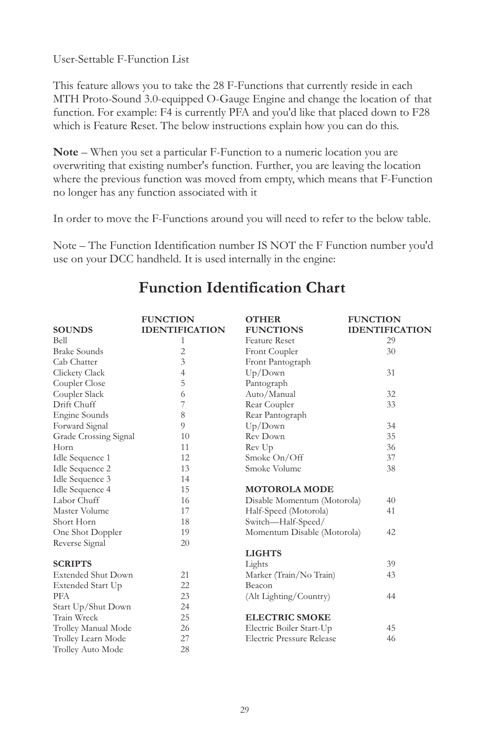*User-Settable F-Function List*

*This feature allows you to take the 28 F-Functions that currently reside in each MTH Proto-Sound 3.0-equipped O-Gauge Engine and change the location of that function. For example: F4 is currently PFA and you'd like that placed down to F28 which is Feature Reset. The below instructions explain how you can do this.* 

*Note – When you set a particular F-Function to a numeric location you are overwriting that existing number's function. Further, you are leaving the location where the previous function was moved from empty, which means that F-Function no longer has any function associated with it*

*In order to move the F-Functions around you will need to refer to the below table.* 

*Note – The Function Identification number IS NOT the F Function number you'd use on your DCC handheld. It is used internally in the engine:*

|                           | <b>FUNCTION</b>       | <b>OTHER</b>                     | <b>FUNCTION</b>       |
|---------------------------|-----------------------|----------------------------------|-----------------------|
| <b>SOUNDS</b>             | <b>IDENTIFICATION</b> | <b>FUNCTIONS</b>                 | <b>IDENTIFICATION</b> |
| Bell                      | 1                     | <b>Feature Reset</b>             | 29                    |
| <b>Brake Sounds</b>       | $\overline{2}$        | Front Coupler                    | 30                    |
| Cab Chatter               | 3                     | Front Pantograph                 |                       |
| Clickety Clack            | $\overline{4}$        | Up/Down                          | 31                    |
| Coupler Close             | 5                     | Pantograph                       |                       |
| Coupler Slack             | 6                     | Auto/Manual                      | 32                    |
| Drift Chuff               | 7                     | Rear Coupler                     | 33                    |
| Engine Sounds             | 8                     | Rear Pantograph                  |                       |
| Forward Signal            | 9                     | Up/Down                          | 34                    |
| Grade Crossing Signal     | 10                    | Rev Down                         | 35                    |
| Horn                      | 11                    | Rev Up                           | 36                    |
| Idle Sequence 1           | 12                    | Smoke On/Off                     | 37                    |
| Idle Sequence 2           | 13                    | Smoke Volume                     | 38                    |
| Idle Sequence 3           | 14                    |                                  |                       |
| Idle Sequence 4           | 15                    | <b>MOTOROLA MODE</b>             |                       |
| Labor Chuff               | 16                    | Disable Momentum (Motorola)      | 40                    |
| Master Volume             | 17                    | Half-Speed (Motorola)            | 41                    |
| Short Horn                | 18                    | Switch-Half-Speed/               |                       |
| One Shot Doppler          | 19                    | Momentum Disable (Motorola)      | 42                    |
| Reverse Signal            | 20                    |                                  |                       |
|                           |                       | <b>LIGHTS</b>                    |                       |
| <b>SCRIPTS</b>            |                       | Lights                           | 39                    |
| <b>Extended Shut Down</b> | 21                    | Marker (Train/No Train)          | 43                    |
| Extended Start Up         | 22                    | Beacon                           |                       |
| <b>PFA</b>                | 23                    | (Alt Lighting/Country)           | 44                    |
| Start Up/Shut Down        | 24                    |                                  |                       |
| Train Wreck               | 25                    | <b>ELECTRIC SMOKE</b>            |                       |
| Trolley Manual Mode       | 26                    | Electric Boiler Start-Up         | 45                    |
| Trolley Learn Mode        | 27                    | <b>Electric Pressure Release</b> | 46                    |
| Trolley Auto Mode         | 28                    |                                  |                       |

## *Function Identification Chart*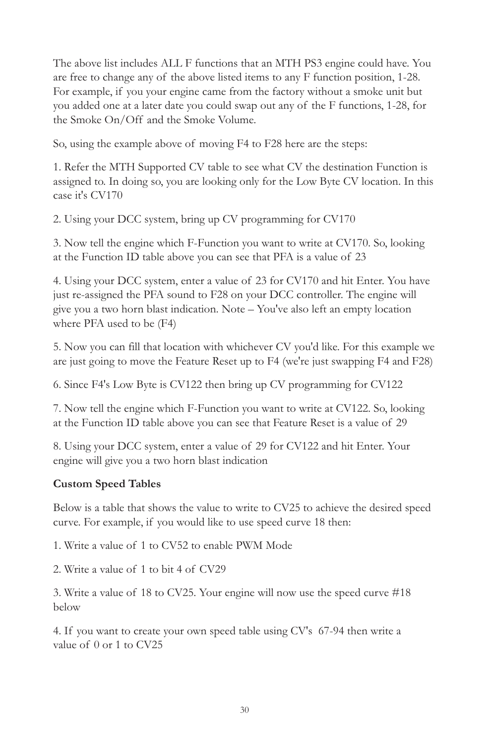*The above list includes ALL F functions that an MTH PS3 engine could have. You are free to change any of the above listed items to any F function position, 1-28.*  For example, if you your engine came from the factory without a smoke unit but *you added one at a later date you could swap out any of the F functions, 1-28, for the Smoke On/Off and the Smoke Volume.*

*So, using the example above of moving F4 to F28 here are the steps:*

*1. Refer the MTH Supported CV table to see what CV the destination Function is assigned to. In doing so, you are looking only for the Low Byte CV location. In this case it's CV170*

*2. Using your DCC system, bring up CV programming for CV170*

*3. Now tell the engine which F-Function you want to write at CV170. So, looking at the Function ID table above you can see that PFA is a value of 23*

*4. Using your DCC system, enter a value of 23 for CV170 and hit Enter. You have*  just re-assigned the PFA sound to F28 on your DCC controller. The engine will *give you a two horn blast indication. Note – You've also left an empty location where PFA used to be (F4)* 

*5. Now you can fill that location with whichever CV you'd like. For this example we are just going to move the Feature Reset up to F4 (we're just swapping F4 and F28)*

*6. Since F4's Low Byte is CV122 then bring up CV programming for CV122*

*7. Now tell the engine which F-Function you want to write at CV122. So, looking at the Function ID table above you can see that Feature Reset is a value of 29*

*8. Using your DCC system, enter a value of 29 for CV122 and hit Enter. Your engine will give you a two horn blast indication*

#### *Custom Speed Tables*

*Below is a table that shows the value to write to CV25 to achieve the desired speed curve. For example, if you would like to use speed curve 18 then:*

*1. Write a value of 1 to CV52 to enable PWM Mode*

*2. Write a value of 1 to bit 4 of CV29*

*3. Write a value of 18 to CV25. Your engine will now use the speed curve #18 below*

*4. If you want to create your own speed table using CV's 67-94 then write a value of 0 or 1 to CV25*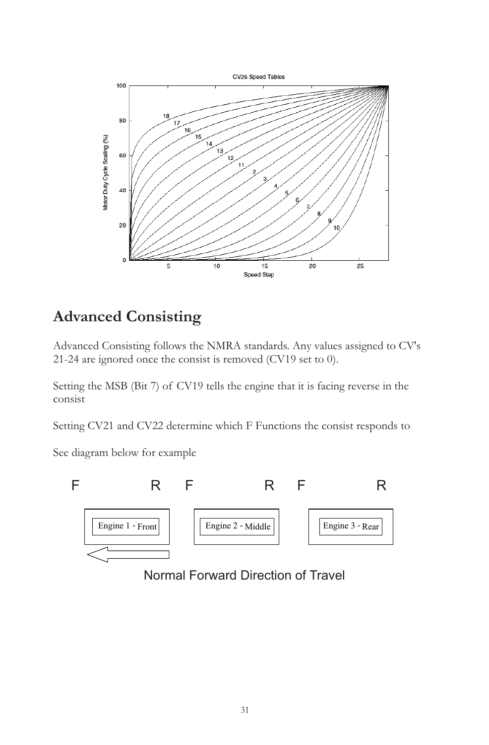

## *Advanced Consisting*

*Advanced Consisting follows the NMRA standards. Any values assigned to CV's 21-24 are ignored once the consist is removed (CV19 set to 0).*

*Setting the MSB (Bit 7) of CV19 tells the engine that it is facing reverse in the consist*

*Setting CV21 and CV22 determine which F Functions the consist responds to*

*See diagram below for example*



Normal Forward Direction of Travel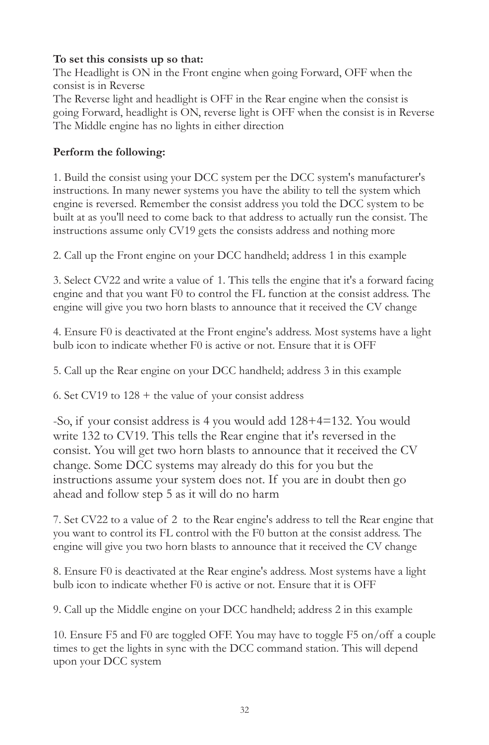#### *To set this consists up so that:*

The Headlight is ON in the Front engine when going Forward, OFF when the *consist is in Reverse The Reverse light and headlight is OFF in the Rear engine when the consist is going Forward, headlight is ON, reverse light is OFF when the consist is in Reverse The Middle engine has no lights in either direction*

#### *Perform the following:*

*1. Build the consist using your DCC system per the DCC system's manufacturer's instructions. In many newer systems you have the ability to tell the system which engine is reversed. Remember the consist address you told the DCC system to be built at as you'll need to come back to that address to actually run the consist. The instructions assume only CV19 gets the consists address and nothing more*

*2. Call up the Front engine on your DCC handheld; address 1 in this example*

*3. Select CV22 and write a value of 1. This tells the engine that it's a forward facing engine and that you want F0 to control the FL function at the consist address. The engine will give you two horn blasts to announce that it received the CV change*

*4. Ensure F0 is deactivated at the Front engine's address. Most systems have a light bulb icon to indicate whether F0 is active or not. Ensure that it is OFF*

*5. Call up the Rear engine on your DCC handheld; address 3 in this example* 

*6. Set CV19 to 128 + the value of your consist address*

*-So, if your consist address is 4 you would add 128+4=132. You would*  write 132 to CV19. This tells the Rear engine that it's reversed in the *consist. You will get two horn blasts to announce that it received the CV change. Some DCC systems may already do this for you but the instructions assume your system does not. If you are in doubt then go ahead and follow step 5 as it will do no harm*

*7. Set CV22 to a value of 2 to the Rear engine's address to tell the Rear engine that you want to control its FL control with the F0 button at the consist address. The engine will give you two horn blasts to announce that it received the CV change*

*8. Ensure F0 is deactivated at the Rear engine's address. Most systems have a light bulb icon to indicate whether F0 is active or not. Ensure that it is OFF*

*9. Call up the Middle engine on your DCC handheld; address 2 in this example*

*10. Ensure F5 and F0 are toggled OFF. You may have to toggle F5 on/off a couple*  times to get the lights in sync with the DCC command station. This will depend *upon your DCC system*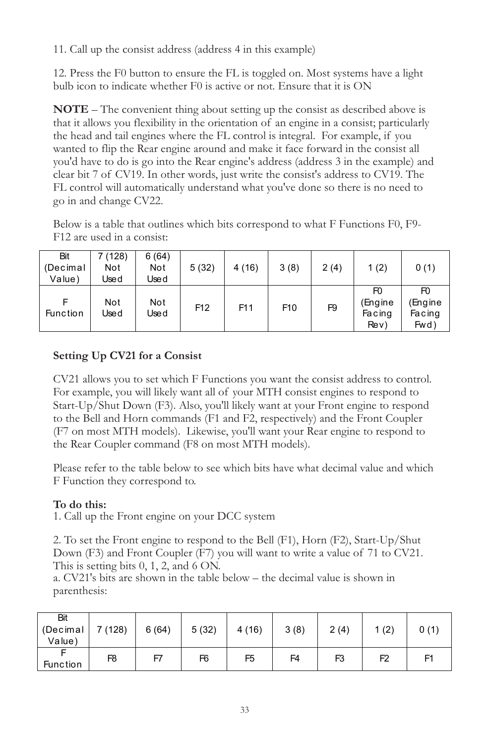*11. Call up the consist address (address 4 in this example)*

*12. Press the F0 button to ensure the FL is toggled on. Most systems have a light bulb icon to indicate whether F0 is active or not. Ensure that it is ON*

*NOTE – The convenient thing about setting up the consist as described above is that it allows you flexibility in the orientation of an engine in a consist; particularly the head and tail engines where the FL control is integral. For example, if you*  wanted to flip the Rear engine around and make it face forward in the consist all *you'd have to do is go into the Rear engine's address (address 3 in the example) and clear bit 7 of CV19. In other words, just write the consist's address to CV19. The FL control will automatically understand what you've done so there is no need to go in and change CV22.*

*Below is a table that outlines which bits correspond to what F Functions F0, F9- F12 are used in a consist:*

| Bit<br>(Decimal<br>Value) | 7 (128)<br>Not<br>Jse d | 6(64)<br>Not<br>Jse d | 5(32)           | 4(16)           | 3(8)            | 2(4)           | 1(2)                                       | 0(1)                                       |
|---------------------------|-------------------------|-----------------------|-----------------|-----------------|-----------------|----------------|--------------------------------------------|--------------------------------------------|
| <b>Function</b>           | Not<br>Used             | Not<br>Use d          | F <sub>12</sub> | F <sub>11</sub> | F <sub>10</sub> | F <sub>9</sub> | F <sub>0</sub><br>Engine<br>Facing<br>ReV) | F <sub>0</sub><br>(Engine<br>Facing<br>Fwd |

#### *Setting Up CV21 for a Consist*

*CV21 allows you to set which F Functions you want the consist address to control.*  For example, you will likely want all of your MTH consist engines to respond to *Start-Up/Shut Down (F3). Also, you'll likely want at your Front engine to respond to the Bell and Horn commands (F1 and F2, respectively) and the Front Coupler (F7 on most MTH models). Likewise, you'll want your Rear engine to respond to the Rear Coupler command (F8 on most MTH models).* 

Please refer to the table below to see which bits have what decimal value and which *F Function they correspond to.*

#### *To do this:*

*1. Call up the Front engine on your DCC system*

*2. To set the Front engine to respond to the Bell (F1), Horn (F2), Start-Up/Shut Down (F3) and Front Coupler (F7) you will want to write a value of 71 to CV21. This is setting bits 0, 1, 2, and 6 ON.* 

a. CV21's bits are shown in the table below – the decimal value is shown in *parenthesis:*

| Bit<br>(Decimal<br>Value) | 7(128)         | 6(64) | 5(32) | 4(16)          | 3(8)           | 2(4)           | 1(2) | 0(1) |
|---------------------------|----------------|-------|-------|----------------|----------------|----------------|------|------|
| <b>Function</b>           | F <sub>8</sub> | F7    | F6    | F <sub>5</sub> | F <sub>4</sub> | F <sub>3</sub> | F2   | F    |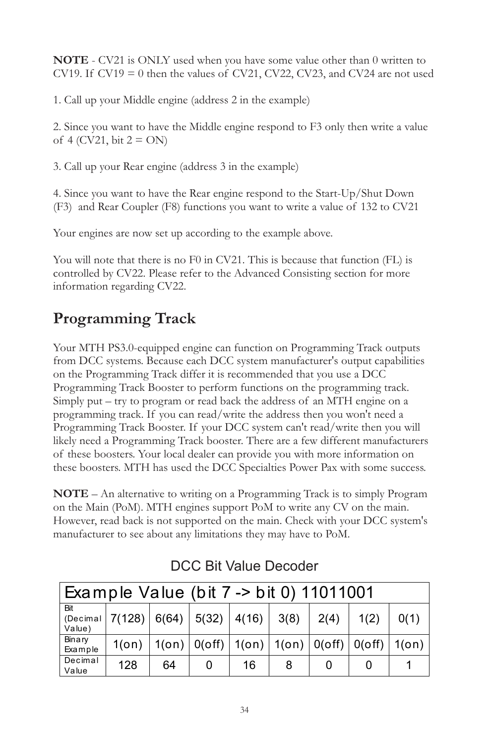*NOTE - CV21 is ONLY used when you have some value other than 0 written to CV19. If CV19 = 0 then the values of CV21, CV22, CV23, and CV24 are not used*

*1. Call up your Middle engine (address 2 in the example)*

*2. Since you want to have the Middle engine respond to F3 only then write a value of 4 (CV21, bit 2 = ON)*

*3. Call up your Rear engine (address 3 in the example)*

*4. Since you want to have the Rear engine respond to the Start-Up/Shut Down (F3) and Rear Coupler (F8) functions you want to write a value of 132 to CV21*

*Your engines are now set up according to the example above.* 

*You will note that there is no F0 in CV21. This is because that function (FL) is controlled by CV22. Please refer to the Advanced Consisting section for more information regarding CV22.*

## *Programming Track*

*Your MTH PS3.0-equipped engine can function on Programming Track outputs from DCC systems. Because each DCC system manufacturer's output capabilities on the Programming Track differ it is recommended that you use a DCC Programming Track Booster to perform functions on the programming track. Simply put – try to program or read back the address of an MTH engine on a programming track. If you can read/write the address then you won't need a Programming Track Booster. If your DCC system can't read/write then you will likely need a Programming Track booster. There are a few different manufacturers of these boosters. Your local dealer can provide you with more information on these boosters. MTH has used the DCC Specialties Power Pax with some success.*

*NOTE – An alternative to writing on a Programming Track is to simply Program on the Main (PoM). MTH engines support PoM to write any CV on the main. However, read back is not supported on the main. Check with your DCC system's manufacturer to see about any limitations they may have to PoM.*

| Example Value (bit 7 -> bit 0) 11011001 |                                            |    |   |                                                            |      |      |      |      |
|-----------------------------------------|--------------------------------------------|----|---|------------------------------------------------------------|------|------|------|------|
| Bit<br>Value)                           | (Decimal $ 7(128)   6(64)   5(32)   4(16)$ |    |   |                                                            | 3(8) | 2(4) | 1(2) | 0(1) |
| Binary<br>Example                       | $1($ on $)$                                |    |   | $1(0n)   0(0ff)   1(0n)   1(0n)   0(0ff)   0(0ff)   1(0n)$ |      |      |      |      |
| Decimal<br>Value                        | 128                                        | 64 | 0 | 16                                                         | 8    |      |      |      |

## DCC Bit Value Decoder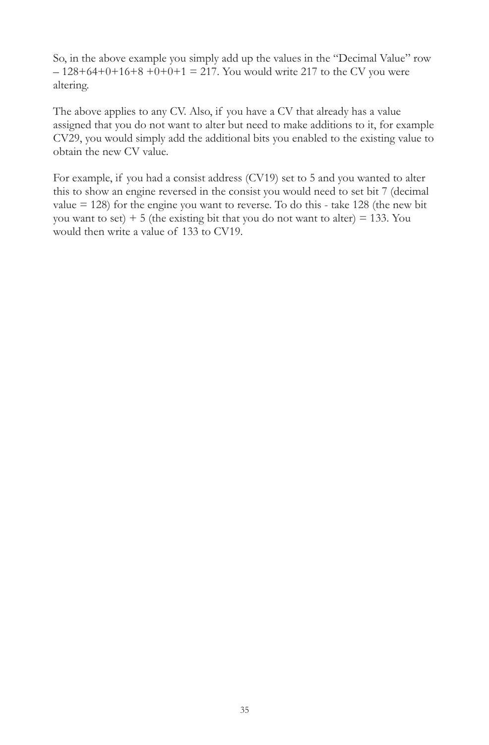*So, in the above example you simply add up the values in the "Decimal Value" row – 128+64+0+16+8 +0+0+1 = 217. You would write 217 to the CV you were altering.* 

*The above applies to any CV. Also, if you have a CV that already has a value*  assigned that you do not want to alter but need to make additions to it, for example *CV29, you would simply add the additional bits you enabled to the existing value to obtain the new CV value.*

For example, if you had a consist address (CV19) set to 5 and you wanted to alter this to show an engine reversed in the consist you would need to set bit 7 (decimal *value = 128) for the engine you want to reverse. To do this - take 128 (the new bit you want to set) + 5 (the existing bit that you do not want to alter) = 133. You would then write a value of 133 to CV19.*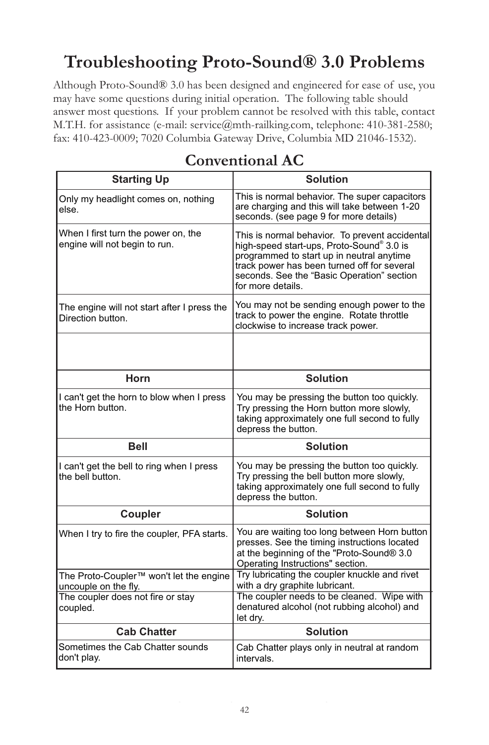# *Troubleshooting Proto-Sound® 3.0 Problems*

*Although Proto-Sound® 3.0 has been designed and engineered for ease of use, you may have some questions during initial operation. The following table should*  answer most questions. If your problem cannot be resolved with this table, contact *M.T.H. for assistance (e-mail: service@mth-railking.com, telephone: 410-381-2580; fax: 410-423-0009; 7020 Columbia Gateway Drive, Columbia MD 21046-1532).*

| <b>Starting Up</b>                                                          | <b>Solution</b>                                                                                                                                                                                                                                            |
|-----------------------------------------------------------------------------|------------------------------------------------------------------------------------------------------------------------------------------------------------------------------------------------------------------------------------------------------------|
| Only my headlight comes on, nothing<br>else.                                | This is normal behavior. The super capacitors<br>are charging and this will take between 1-20<br>seconds. (see page 9 for more details)                                                                                                                    |
| When I first turn the power on, the<br>engine will not begin to run.        | This is normal behavior. To prevent accidental<br>high-speed start-ups, Proto-Sound® 3.0 is<br>programmed to start up in neutral anytime<br>track power has been turned off for several<br>seconds. See the "Basic Operation" section<br>for more details. |
| The engine will not start after I press the<br>Direction button.            | You may not be sending enough power to the<br>track to power the engine. Rotate throttle<br>clockwise to increase track power.                                                                                                                             |
|                                                                             |                                                                                                                                                                                                                                                            |
| Horn                                                                        | <b>Solution</b>                                                                                                                                                                                                                                            |
| I can't get the horn to blow when I press<br>the Horn button.               | You may be pressing the button too quickly.<br>Try pressing the Horn button more slowly,<br>taking approximately one full second to fully<br>depress the button.                                                                                           |
| <b>Bell</b>                                                                 | <b>Solution</b>                                                                                                                                                                                                                                            |
| I can't get the bell to ring when I press<br>the bell button.               | You may be pressing the button too quickly.<br>Try pressing the bell button more slowly,<br>taking approximately one full second to fully<br>depress the button.                                                                                           |
| Coupler                                                                     | <b>Solution</b>                                                                                                                                                                                                                                            |
| When I try to fire the coupler, PFA starts.                                 | You are waiting too long between Horn button<br>presses. See the timing instructions located<br>at the beginning of the "Proto-Sound® 3.0<br>Operating Instructions" section.                                                                              |
| The Proto-Coupler <sup>™</sup> won't let the engine<br>uncouple on the fly. | Try lubricating the coupler knuckle and rivet<br>with a dry graphite lubricant.                                                                                                                                                                            |
| The coupler does not fire or stay<br>coupled.                               | The coupler needs to be cleaned. Wipe with<br>denatured alcohol (not rubbing alcohol) and<br>let dry.                                                                                                                                                      |
| <b>Cab Chatter</b>                                                          | <b>Solution</b>                                                                                                                                                                                                                                            |
| Sometimes the Cab Chatter sounds<br>don't play.                             | Cab Chatter plays only in neutral at random<br>intervals.                                                                                                                                                                                                  |

## *Conventional AC*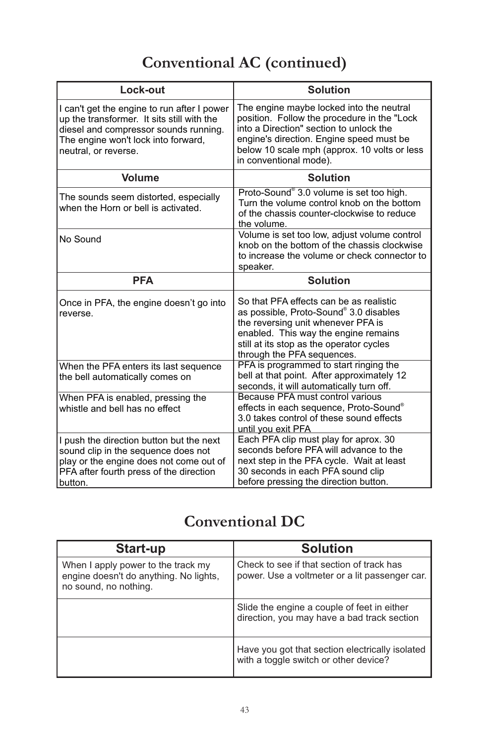# *Conventional AC (continued)*

| Lock-out                                                                                                                                                                                          | <b>Solution</b>                                                                                                                                                                                                                                          |
|---------------------------------------------------------------------------------------------------------------------------------------------------------------------------------------------------|----------------------------------------------------------------------------------------------------------------------------------------------------------------------------------------------------------------------------------------------------------|
| I can't get the engine to run after I power<br>up the transformer. It sits still with the<br>diesel and compressor sounds running.<br>The engine won't lock into forward,<br>neutral, or reverse. | The engine maybe locked into the neutral<br>position. Follow the procedure in the "Lock<br>into a Direction" section to unlock the<br>engine's direction. Engine speed must be<br>below 10 scale mph (approx. 10 volts or less<br>in conventional mode). |
| <b>Volume</b>                                                                                                                                                                                     | <b>Solution</b>                                                                                                                                                                                                                                          |
| The sounds seem distorted, especially<br>when the Horn or bell is activated.                                                                                                                      | Proto-Sound® 3.0 volume is set too high.<br>Turn the volume control knob on the bottom<br>of the chassis counter-clockwise to reduce<br>the volume.                                                                                                      |
| No Sound                                                                                                                                                                                          | Volume is set too low, adjust volume control<br>knob on the bottom of the chassis clockwise<br>to increase the volume or check connector to<br>speaker.                                                                                                  |
| <b>PFA</b>                                                                                                                                                                                        | <b>Solution</b>                                                                                                                                                                                                                                          |
| Once in PFA, the engine doesn't go into<br>reverse.                                                                                                                                               | So that PFA effects can be as realistic<br>as possible, Proto-Sound® 3.0 disables<br>the reversing unit whenever PFA is<br>enabled. This way the engine remains<br>still at its stop as the operator cycles<br>through the PFA sequences.                |
| When the PFA enters its last sequence<br>the bell automatically comes on                                                                                                                          | PFA is programmed to start ringing the<br>bell at that point. After approximately 12<br>seconds, it will automatically turn off.                                                                                                                         |
| When PFA is enabled, pressing the<br>whistle and bell has no effect                                                                                                                               | Because PFA must control various<br>effects in each sequence, Proto-Sound®<br>3.0 takes control of these sound effects<br>until you exit PFA                                                                                                             |
| I push the direction button but the next<br>sound clip in the sequence does not<br>play or the engine does not come out of<br>PFA after fourth press of the direction<br>button.                  | Each PFA clip must play for aprox. 30<br>seconds before PFA will advance to the<br>next step in the PFA cycle. Wait at least<br>30 seconds in each PFA sound clip<br>before pressing the direction button.                                               |

## *Conventional DC*

| Start-up                                                                                              | Solution                                                                                    |
|-------------------------------------------------------------------------------------------------------|---------------------------------------------------------------------------------------------|
| When I apply power to the track my<br>engine doesn't do anything. No lights,<br>no sound, no nothing. | Check to see if that section of track has<br>power. Use a voltmeter or a lit passenger car. |
|                                                                                                       | Slide the engine a couple of feet in either<br>direction, you may have a bad track section  |
|                                                                                                       | Have you got that section electrically isolated<br>with a toggle switch or other device?    |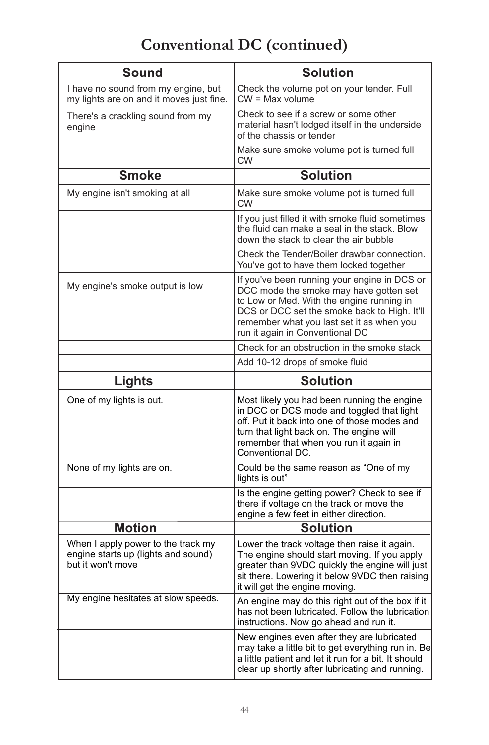# *Conventional DC (continued)*

| <b>Sound</b>                                                                                   | <b>Solution</b>                                                                                                                                                                                                                                                     |
|------------------------------------------------------------------------------------------------|---------------------------------------------------------------------------------------------------------------------------------------------------------------------------------------------------------------------------------------------------------------------|
| I have no sound from my engine, but<br>my lights are on and it moves just fine.                | Check the volume pot on your tender. Full<br>$CW = Max volume$                                                                                                                                                                                                      |
| There's a crackling sound from my<br>engine                                                    | Check to see if a screw or some other<br>material hasn't lodged itself in the underside<br>of the chassis or tender                                                                                                                                                 |
|                                                                                                | Make sure smoke volume pot is turned full<br>CW                                                                                                                                                                                                                     |
| <b>Smoke</b>                                                                                   | <b>Solution</b>                                                                                                                                                                                                                                                     |
| My engine isn't smoking at all                                                                 | Make sure smoke volume pot is turned full<br>CW                                                                                                                                                                                                                     |
|                                                                                                | If you just filled it with smoke fluid sometimes<br>the fluid can make a seal in the stack. Blow<br>down the stack to clear the air bubble                                                                                                                          |
|                                                                                                | Check the Tender/Boiler drawbar connection.<br>You've got to have them locked together                                                                                                                                                                              |
| My engine's smoke output is low                                                                | If you've been running your engine in DCS or<br>DCC mode the smoke may have gotten set<br>to Low or Med. With the engine running in<br>DCS or DCC set the smoke back to High. It'll<br>remember what you last set it as when you<br>run it again in Conventional DC |
|                                                                                                | Check for an obstruction in the smoke stack                                                                                                                                                                                                                         |
|                                                                                                | Add 10-12 drops of smoke fluid                                                                                                                                                                                                                                      |
|                                                                                                |                                                                                                                                                                                                                                                                     |
| <b>Lights</b>                                                                                  | <b>Solution</b>                                                                                                                                                                                                                                                     |
| One of my lights is out.                                                                       | Most likely you had been running the engine<br>in DCC or DCS mode and toggled that light<br>off. Put it back into one of those modes and<br>turn that light back on. The engine will<br>remember that when you run it again in<br>Conventional DC.                  |
| None of my lights are on.                                                                      | Could be the same reason as "One of my<br>lights is out"                                                                                                                                                                                                            |
|                                                                                                | Is the engine getting power? Check to see if<br>there if voltage on the track or move the<br>engine a few feet in either direction.                                                                                                                                 |
| <b>Motion</b>                                                                                  | <b>Solution</b>                                                                                                                                                                                                                                                     |
| When I apply power to the track my<br>engine starts up (lights and sound)<br>but it won't move | Lower the track voltage then raise it again.<br>The engine should start moving. If you apply<br>greater than 9VDC quickly the engine will just<br>sit there. Lowering it below 9VDC then raising<br>it will get the engine moving.                                  |
| My engine hesitates at slow speeds.                                                            | An engine may do this right out of the box if it<br>has not been lubricated. Follow the lubrication<br>instructions. Now go ahead and run it.                                                                                                                       |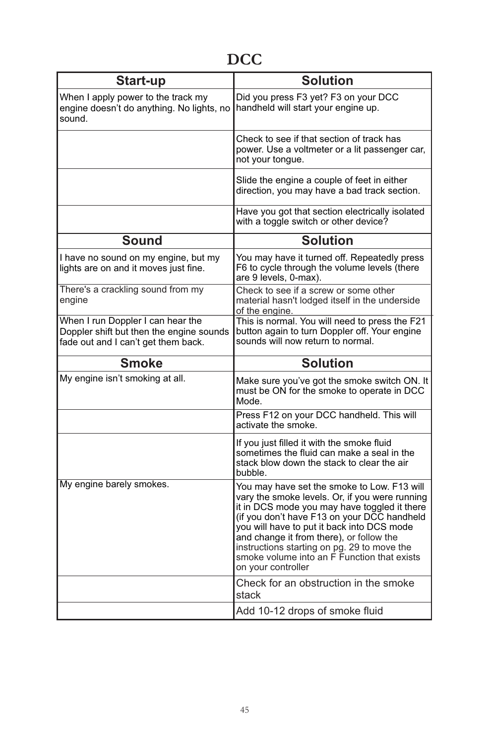# *DCC*

| Start-up                                                                                                             | <b>Solution</b>                                                                                                                                                                                                                                                                                                                                                                                            |
|----------------------------------------------------------------------------------------------------------------------|------------------------------------------------------------------------------------------------------------------------------------------------------------------------------------------------------------------------------------------------------------------------------------------------------------------------------------------------------------------------------------------------------------|
| When I apply power to the track my<br>engine doesn't do anything. No lights, no<br>sound.                            | Did you press F3 yet? F3 on your DCC<br>handheld will start your engine up.                                                                                                                                                                                                                                                                                                                                |
|                                                                                                                      | Check to see if that section of track has<br>power. Use a voltmeter or a lit passenger car,<br>not your tongue.                                                                                                                                                                                                                                                                                            |
|                                                                                                                      | Slide the engine a couple of feet in either<br>direction, you may have a bad track section.                                                                                                                                                                                                                                                                                                                |
|                                                                                                                      | Have you got that section electrically isolated<br>with a toggle switch or other device?                                                                                                                                                                                                                                                                                                                   |
| <b>Sound</b>                                                                                                         | <b>Solution</b>                                                                                                                                                                                                                                                                                                                                                                                            |
| I have no sound on my engine, but my<br>lights are on and it moves just fine.                                        | You may have it turned off. Repeatedly press<br>F6 to cycle through the volume levels (there<br>are 9 levels, 0-max).                                                                                                                                                                                                                                                                                      |
| There's a crackling sound from my<br>engine                                                                          | Check to see if a screw or some other<br>material hasn't lodged itself in the underside<br>of the engine.                                                                                                                                                                                                                                                                                                  |
| When I run Doppler I can hear the<br>Doppler shift but then the engine sounds<br>fade out and I can't get them back. | This is normal. You will need to press the F21<br>button again to turn Doppler off. Your engine<br>sounds will now return to normal.                                                                                                                                                                                                                                                                       |
| <b>Smoke</b>                                                                                                         | <b>Solution</b>                                                                                                                                                                                                                                                                                                                                                                                            |
|                                                                                                                      |                                                                                                                                                                                                                                                                                                                                                                                                            |
| My engine isn't smoking at all.                                                                                      | Make sure you've got the smoke switch ON. It<br>must be ON for the smoke to operate in DCC<br>Mode.                                                                                                                                                                                                                                                                                                        |
|                                                                                                                      | Press F12 on your DCC handheld. This will<br>activate the smoke.                                                                                                                                                                                                                                                                                                                                           |
|                                                                                                                      | If you just filled it with the smoke fluid<br>sometimes the fluid can make a seal in the<br>stack blow down the stack to clear the air<br>bubble.                                                                                                                                                                                                                                                          |
| My engine barely smokes.                                                                                             | You may have set the smoke to Low. F13 will<br>vary the smoke levels. Or, if you were running<br>it in DCS mode you may have toggled it there<br>(if you don't have F13 on your DCC handheld<br>you will have to put it back into DCS mode<br>and change it from there), or follow the<br>instructions starting on pg. 29 to move the<br>smoke volume into an F Function that exists<br>on your controller |
|                                                                                                                      | Check for an obstruction in the smoke<br>stack<br>Add 10-12 drops of smoke fluid                                                                                                                                                                                                                                                                                                                           |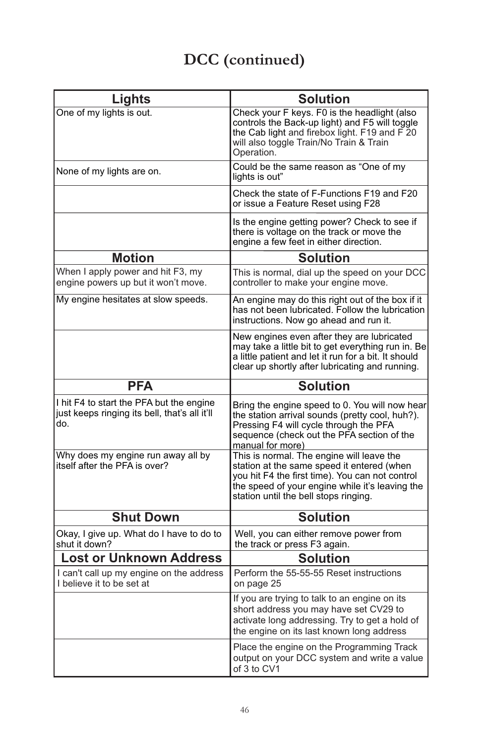# *DCC (continued)*

| Lights                                                                                           | <b>Solution</b>                                                                                                                                                                                                                        |
|--------------------------------------------------------------------------------------------------|----------------------------------------------------------------------------------------------------------------------------------------------------------------------------------------------------------------------------------------|
| One of my lights is out.                                                                         | Check your F keys. F0 is the headlight (also<br>controls the Back-up light) and F5 will toggle<br>the Cab light and firebox light. F19 and F 20<br>will also toggle Train/No Train & Train<br>Operation.                               |
| None of my lights are on.                                                                        | Could be the same reason as "One of my<br>lights is out"                                                                                                                                                                               |
|                                                                                                  | Check the state of F-Functions F19 and F20<br>or issue a Feature Reset using F28                                                                                                                                                       |
|                                                                                                  | Is the engine getting power? Check to see if<br>there is voltage on the track or move the<br>engine a few feet in either direction.                                                                                                    |
| <b>Motion</b>                                                                                    | <b>Solution</b>                                                                                                                                                                                                                        |
| When I apply power and hit F3, my<br>engine powers up but it won't move.                         | This is normal, dial up the speed on your DCC<br>controller to make your engine move.                                                                                                                                                  |
| My engine hesitates at slow speeds.                                                              | An engine may do this right out of the box if it<br>has not been lubricated. Follow the lubrication<br>instructions. Now go ahead and run it.                                                                                          |
|                                                                                                  | New engines even after they are lubricated<br>may take a little bit to get everything run in. Be<br>a little patient and let it run for a bit. It should<br>clear up shortly after lubricating and running.                            |
| PFA                                                                                              | <b>Solution</b>                                                                                                                                                                                                                        |
| I hit F4 to start the PFA but the engine<br>just keeps ringing its bell, that's all it'll<br>do. | Bring the engine speed to 0. You will now hear<br>the station arrival sounds (pretty cool, huh?).<br>Pressing F4 will cycle through the PFA<br>sequence (check out the PFA section of the<br>manual for more)                          |
| Why does my engine run away all by<br>itself after the PFA is over?                              | This is normal. The engine will leave the<br>station at the same speed it entered (when<br>you hit F4 the first time). You can not control<br>the speed of your engine while it's leaving the<br>station until the bell stops ringing. |
| <b>Shut Down</b>                                                                                 | <b>Solution</b>                                                                                                                                                                                                                        |
| Okay, I give up. What do I have to do to<br>shut it down?                                        | Well, you can either remove power from<br>the track or press F3 again.                                                                                                                                                                 |
| <b>Lost or Unknown Address</b>                                                                   | Solution                                                                                                                                                                                                                               |
| I can't call up my engine on the address<br>I believe it to be set at                            | Perform the 55-55-55 Reset instructions<br>on page 25                                                                                                                                                                                  |
|                                                                                                  | If you are trying to talk to an engine on its<br>short address you may have set CV29 to<br>activate long addressing. Try to get a hold of<br>the engine on its last known long address                                                 |
|                                                                                                  | Place the engine on the Programming Track<br>output on your DCC system and write a value<br>of 3 to CV1                                                                                                                                |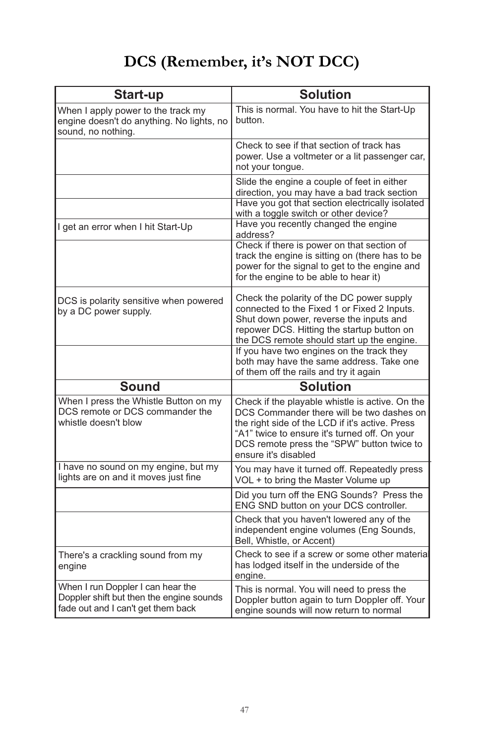# *DCS (Remember, it's NOT DCC)*

| Start-up                                                                                                            | <b>Solution</b>                                                                                                                                                                                                                                                        |
|---------------------------------------------------------------------------------------------------------------------|------------------------------------------------------------------------------------------------------------------------------------------------------------------------------------------------------------------------------------------------------------------------|
| When I apply power to the track my<br>engine doesn't do anything. No lights, no<br>sound, no nothing.               | This is normal. You have to hit the Start-Up<br>button.                                                                                                                                                                                                                |
|                                                                                                                     | Check to see if that section of track has<br>power. Use a voltmeter or a lit passenger car,<br>not your tongue.                                                                                                                                                        |
|                                                                                                                     | Slide the engine a couple of feet in either<br>direction, you may have a bad track section<br>Have you got that section electrically isolated<br>with a toggle switch or other device?                                                                                 |
| I get an error when I hit Start-Up                                                                                  | Have you recently changed the engine<br>address?                                                                                                                                                                                                                       |
|                                                                                                                     | Check if there is power on that section of<br>track the engine is sitting on (there has to be<br>power for the signal to get to the engine and<br>for the engine to be able to hear it)                                                                                |
| DCS is polarity sensitive when powered<br>by a DC power supply.                                                     | Check the polarity of the DC power supply<br>connected to the Fixed 1 or Fixed 2 Inputs.<br>Shut down power, reverse the inputs and<br>repower DCS. Hitting the startup button on<br>the DCS remote should start up the engine.                                        |
|                                                                                                                     | If you have two engines on the track they<br>both may have the same address. Take one<br>of them off the rails and try it again                                                                                                                                        |
| <b>Sound</b>                                                                                                        | <b>Solution</b>                                                                                                                                                                                                                                                        |
| When I press the Whistle Button on my<br>DCS remote or DCS commander the<br>whistle doesn't blow                    | Check if the playable whistle is active. On the<br>DCS Commander there will be two dashes on<br>the right side of the LCD if it's active. Press<br>"A1" twice to ensure it's turned off. On your<br>DCS remote press the "SPW" button twice to<br>ensure it's disabled |
| I have no sound on my engine, but my<br>lights are on and it moves just fine                                        | You may have it turned off. Repeatedly press<br>VOL + to bring the Master Volume up                                                                                                                                                                                    |
|                                                                                                                     | Did you turn off the ENG Sounds? Press the<br>ENG SND button on your DCS controller.                                                                                                                                                                                   |
|                                                                                                                     | Check that you haven't lowered any of the<br>independent engine volumes (Eng Sounds,<br>Bell, Whistle, or Accent)                                                                                                                                                      |
| There's a crackling sound from my<br>engine                                                                         | Check to see if a screw or some other material<br>has lodged itself in the underside of the<br>engine.                                                                                                                                                                 |
| When I run Doppler I can hear the<br>Doppler shift but then the engine sounds<br>fade out and I can't get them back | This is normal. You will need to press the<br>Doppler button again to turn Doppler off. Your<br>engine sounds will now return to normal                                                                                                                                |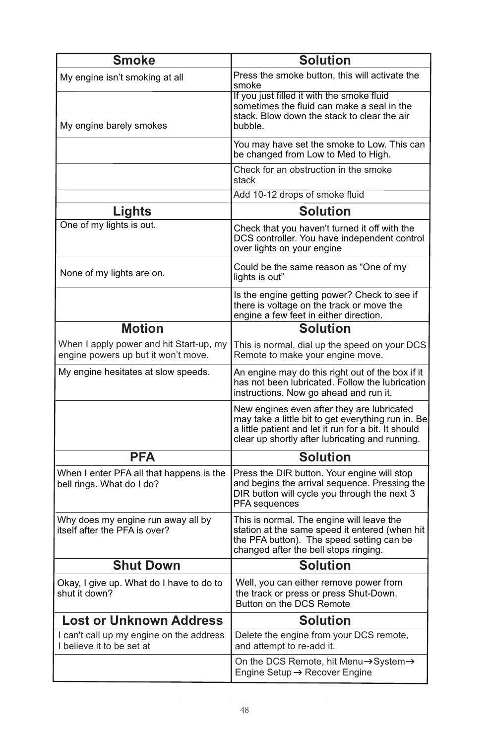| <b>Smoke</b>                                                                   | <b>Solution</b>                                                                                                                                                                                             |
|--------------------------------------------------------------------------------|-------------------------------------------------------------------------------------------------------------------------------------------------------------------------------------------------------------|
| My engine isn't smoking at all                                                 | Press the smoke button, this will activate the<br>smoke                                                                                                                                                     |
|                                                                                | If you just filled it with the smoke fluid<br>sometimes the fluid can make a seal in the                                                                                                                    |
| My engine barely smokes                                                        | stack. Blow down the stack to clear the air<br>bubble.                                                                                                                                                      |
|                                                                                | You may have set the smoke to Low. This can<br>be changed from Low to Med to High.                                                                                                                          |
|                                                                                | Check for an obstruction in the smoke<br>stack                                                                                                                                                              |
|                                                                                | Add 10-12 drops of smoke fluid                                                                                                                                                                              |
| Lights                                                                         | <b>Solution</b>                                                                                                                                                                                             |
| One of my lights is out.                                                       | Check that you haven't turned it off with the<br>DCS controller. You have independent control<br>over lights on your engine                                                                                 |
| None of my lights are on.                                                      | Could be the same reason as "One of my<br>lights is out"                                                                                                                                                    |
|                                                                                | Is the engine getting power? Check to see if<br>there is voltage on the track or move the<br>engine a few feet in either direction.                                                                         |
| <b>Motion</b>                                                                  | <b>Solution</b>                                                                                                                                                                                             |
| When I apply power and hit Start-up, my<br>engine powers up but it won't move. | This is normal, dial up the speed on your DCS<br>Remote to make your engine move.                                                                                                                           |
| My engine hesitates at slow speeds.                                            | An engine may do this right out of the box if it<br>has not been lubricated. Follow the lubrication<br>instructions. Now go ahead and run it.                                                               |
|                                                                                | New engines even after they are lubricated<br>may take a little bit to get everything run in. Be<br>a little patient and let it run for a bit. It should<br>clear up shortly after lubricating and running. |
| <b>PFA</b>                                                                     | <b>Solution</b>                                                                                                                                                                                             |
| When I enter PFA all that happens is the<br>bell rings. What do I do?          | Press the DIR button. Your engine will stop<br>and begins the arrival sequence. Pressing the<br>DIR button will cycle you through the next 3<br>PFA sequences                                               |
| Why does my engine run away all by<br>itself after the PFA is over?            | This is normal. The engine will leave the<br>station at the same speed it entered (when hit<br>the PFA button). The speed setting can be<br>changed after the bell stops ringing.                           |
| <b>Shut Down</b>                                                               | <b>Solution</b>                                                                                                                                                                                             |
| Okay, I give up. What do I have to do to<br>shut it down?                      | Well, you can either remove power from<br>the track or press or press Shut-Down.<br>Button on the DCS Remote                                                                                                |
| <b>Lost or Unknown Address</b>                                                 | <b>Solution</b>                                                                                                                                                                                             |
| I can't call up my engine on the address<br>I believe it to be set at          | Delete the engine from your DCS remote,<br>and attempt to re-add it.                                                                                                                                        |
|                                                                                | On the DCS Remote, hit Menu→System→<br>Engine Setup → Recover Engine                                                                                                                                        |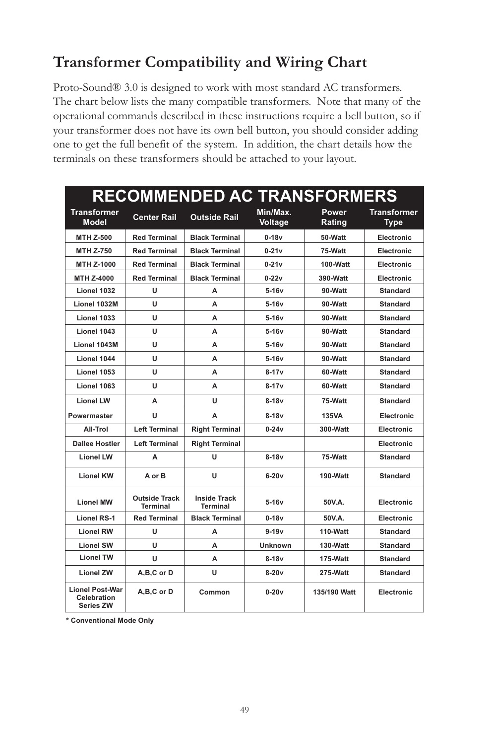## *Transformer Compatibility and Wiring Chart*

*Proto-Sound® 3.0 is designed to work with most standard AC transformers.*  The chart below lists the many compatible transformers. Note that many of the *operational commands described in these instructions require a bell button, so if your transformer does not have its own bell button, you should consider adding one to get the full benefit of the system. In addition, the chart details how the terminals on these transformers should be attached to your layout.* 

| <b>RECOMMENDED AC TRANSFORMERS</b>                        |                           |                                        |                     |                 |                                   |
|-----------------------------------------------------------|---------------------------|----------------------------------------|---------------------|-----------------|-----------------------------------|
| <b>Transformer</b><br><b>Model</b>                        | <b>Center Rail</b>        | Outside Rail                           | Min/Max.<br>Voltage | Power<br>Rating | <b>Transformer</b><br><b>Type</b> |
| <b>MTH Z-500</b>                                          | <b>Red Terminal</b>       | <b>Black Terminal</b>                  | $0-18v$             | 50-Watt         | Electronic                        |
| <b>MTH Z-750</b>                                          | <b>Red Terminal</b>       | <b>Black Terminal</b>                  | $0-21v$             | 75-Watt         | Electronic                        |
| MTH Z-1000                                                | <b>Red Terminal</b>       | <b>Black Terminal</b>                  | $0-21v$             | 100-Watt        | Electronic                        |
| MTH Z-4000                                                | <b>Red Terminal</b>       | <b>Black Terminal</b>                  | $0 - 22v$           | 390-Watt        | Electronic                        |
| Lionel 1032                                               | u                         | А                                      | $5-16v$             | 90-Watt         | <b>Standard</b>                   |
| Lionel 1032M                                              | U                         | А                                      | $5-16v$             | 90-Watt         | <b>Standard</b>                   |
| Lionel 1033                                               | U                         | A                                      | $5-16v$             | 90-Watt         | <b>Standard</b>                   |
| Lionel 1043                                               | U                         | A                                      | $5-16v$             | 90-Watt         | <b>Standard</b>                   |
| Lionel 1043M                                              | U                         | A                                      | $5-16v$             | 90-Watt         | <b>Standard</b>                   |
| Lionel 1044                                               | U                         | A                                      | $5-16v$             | 90-Watt         | <b>Standard</b>                   |
| Lionel 1053                                               | U                         | A                                      | $8 - 17v$           | 60-Watt         | <b>Standard</b>                   |
| Lionel 1063                                               | U                         | А                                      | $8-17v$             | 60-Watt         | <b>Standard</b>                   |
| <b>Lionel LW</b>                                          | A                         | U                                      | $8-18v$             | 75-Watt         | <b>Standard</b>                   |
| Powermaster                                               | U                         | A                                      | $8-18v$             | 135VA           | Electronic                        |
| All-Trol                                                  | <b>Left Terminal</b>      | <b>Right Terminal</b>                  | $0 - 24v$           | 300-Watt        | Electronic                        |
| <b>Dallee Hostler</b>                                     | <b>Left Terminal</b>      | <b>Right Terminal</b>                  |                     |                 | Electronic                        |
| <b>Lionel LW</b>                                          | A                         | U                                      | $8-18v$             | 75-Watt         | <b>Standard</b>                   |
| <b>Lionel KW</b>                                          | A or B                    | U                                      | $6-20v$             | 190-Watt        | <b>Standard</b>                   |
| <b>Lionel MW</b>                                          | Outside Track<br>Terminal | <b>Inside Track</b><br><b>Terminal</b> | $5-16v$             | 50V.A.          | Electronic                        |
| <b>Lionel RS-1</b>                                        | <b>Red Terminal</b>       | <b>Black Terminal</b>                  | $0-18v$             | 50V.A.          | Electronic                        |
| <b>Lionel RW</b>                                          | U                         | A                                      | $9-19v$             | 110-Watt        | <b>Standard</b>                   |
| <b>Lionel SW</b>                                          | U                         | A                                      | Unknown             | 130-Watt        | <b>Standard</b>                   |
| <b>Lionel TW</b>                                          | U                         | A                                      | $8-18v$             | 175-Watt        | <b>Standard</b>                   |
| <b>Lionel ZW</b>                                          | A,B,C or D                | U                                      | $8-20v$             | 275-Watt        | <b>Standard</b>                   |
| <b>Lionel Post-War</b><br>Celebration<br><b>Series ZW</b> | A,B,C or D                | Common                                 | $0 - 20v$           | 135/190 Watt    | Electronic                        |

**\* Conventional Mode Only**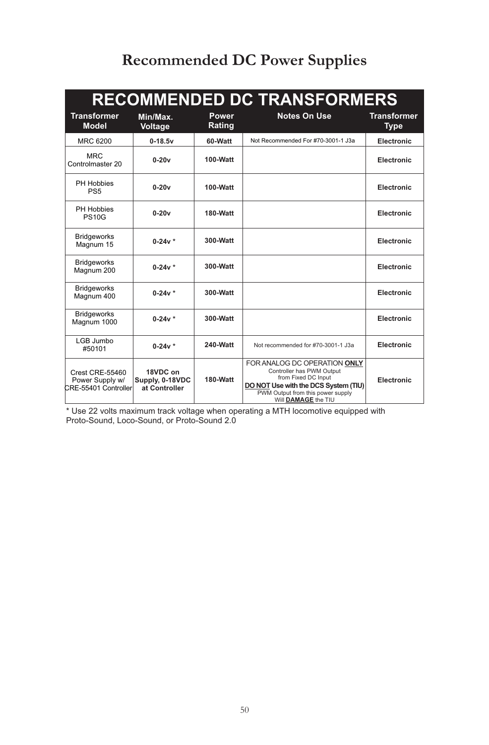# *Recommended DC Power Supplies*

| <b>RECOMMENDED DC TRANSFORMERS</b>                                |                                              |                 |                                                                                                                                                                                      |                                   |
|-------------------------------------------------------------------|----------------------------------------------|-----------------|--------------------------------------------------------------------------------------------------------------------------------------------------------------------------------------|-----------------------------------|
| <b>Transformer</b><br><b>Model</b>                                | Min/Max.<br>Voltage                          | Power<br>Rating | <b>Notes On Use</b>                                                                                                                                                                  | <b>Transformer</b><br><b>Type</b> |
| MRC 6200                                                          | $0 - 18.5v$                                  | 60-Watt         | Not Recommended For #70-3001-1 J3a                                                                                                                                                   | Electronic                        |
| <b>MRC</b><br>Controlmaster 20                                    | $0-20v$                                      | 100-Watt        |                                                                                                                                                                                      | Electronic                        |
| PH Hobbies<br>PS <sub>5</sub>                                     | $0 - 20v$                                    | 100-Watt        |                                                                                                                                                                                      | Electronic                        |
| PH Hobbies<br><b>PS10G</b>                                        | $0 - 20v$                                    | <b>180-Watt</b> |                                                                                                                                                                                      | Electronic                        |
| <b>Bridgeworks</b><br>Magnum 15                                   | $0-24v *$                                    | 300-Watt        |                                                                                                                                                                                      | Electronic                        |
| <b>Bridgeworks</b><br>Magnum 200                                  | $0-24v *$                                    | 300-Watt        |                                                                                                                                                                                      | Electronic                        |
| <b>Bridgeworks</b><br>Magnum 400                                  | $0-24v *$                                    | 300-Waff        |                                                                                                                                                                                      | Electronic                        |
| <b>Bridgeworks</b><br>Magnum 1000                                 | $0-24v *$                                    | 300-Watt        |                                                                                                                                                                                      | Electronic                        |
| LGB Jumbo<br>#50101                                               | $0-24v *$                                    | 240-Watt        | Not recommended for #70-3001-1 J3a                                                                                                                                                   | Electronic                        |
| <b>Crest CRE-55460</b><br>Power Supply w/<br>CRE-55401 Controller | 18VDC on<br>Supply, 0-18VDC<br>at Controller | 180-Watt        | FOR ANALOG DC OPERATION ONLY<br>Controller has PWM Output<br>from Fixed DC Input<br>DO NOT Use with the DCS System (TIU)<br>PWM Output from this power supply<br>Will DAMAGE the TIU | Electronic                        |

\* Use 22 volts maximum track voltage when operating a MTH locomotive equipped with Proto-Sound, Loco-Sound, or Proto-Sound 2.0